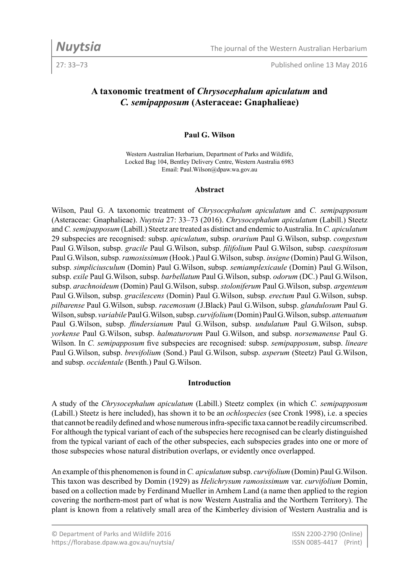27: 33–73 Published online 13 May 2016

# **A taxonomic treatment of** *Chrysocephalum apiculatum* **and**  *C. semipapposum* **(Asteraceae: Gnaphalieae)**

#### **Paul G. Wilson**

Western Australian Herbarium, Department of Parks and Wildlife, Locked Bag 104, Bentley Delivery Centre, Western Australia 6983 Email: Paul.Wilson@dpaw.wa.gov.au

#### **Abstract**

Wilson, Paul G. A taxonomic treatment of *Chrysocephalum apiculatum* and *C. semipapposum* (Asteraceae: Gnaphalieae). *Nuytsia* 27: 33–73 (2016). *Chrysocephalum apiculatum* (Labill.) Steetz and *C. semipapposum* (Labill.) Steetz are treated as distinct and endemic to Australia. In *C. apiculatum* 29 subspecies are recognised: subsp. *apiculatum*, subsp. *orarium* Paul G.Wilson, subsp. *congestum* Paul G.Wilson, subsp. *gracile* Paul G.Wilson, subsp. *filifolium* Paul G.Wilson, subsp. *caespitosum* Paul G.Wilson, subsp. *ramosissimum* (Hook.) Paul G.Wilson, subsp. *insigne* (Domin) Paul G.Wilson, subsp. *simpliciusculum* (Domin) Paul G.Wilson, subsp. *semiamplexicaule* (Domin) Paul G.Wilson, subsp. *exile* Paul G.Wilson, subsp. *barbellatum* Paul G.Wilson, subsp. *odorum* (DC.) Paul G.Wilson, subsp. *arachnoideum* (Domin) Paul G.Wilson, subsp. *stoloniferum* Paul G.Wilson, subsp. *argenteum* Paul G.Wilson, subsp. *gracilescens* (Domin) Paul G.Wilson, subsp. *erectum* Paul G.Wilson, subsp. *pilbarense* Paul G.Wilson, subsp. *racemosum* (J.Black) Paul G.Wilson, subsp. *glandulosum* Paul G. Wilson, subsp. *variabile* Paul G.Wilson, subsp. *curvifolium* (Domin) Paul G.Wilson, subsp. *attenuatum* Paul G.Wilson, subsp. *flindersianum* Paul G.Wilson, subsp. *undulatum* Paul G.Wilson, subsp. *yorkense* Paul G.Wilson, subsp. *halmaturorum* Paul G.Wilson, and subsp. *norsemanense* Paul G. Wilson. In *C. semipapposum* five subspecies are recognised: subsp. *semipapposum*, subsp. *lineare* Paul G.Wilson, subsp. *brevifolium* (Sond.) Paul G.Wilson, subsp. *asperum* (Steetz) Paul G.Wilson, and subsp. *occidentale* (Benth.) Paul G.Wilson.

#### **Introduction**

A study of the *Chrysocephalum apiculatum* (Labill.) Steetz complex (in which *C. semipapposum* (Labill.) Steetz is here included), has shown it to be an *ochlospecies* (see Cronk 1998), i.e. a species that cannot be readily defined and whose numerous infra-specific taxa cannot be readily circumscribed. For although the typical variant of each of the subspecies here recognised can be clearly distinguished from the typical variant of each of the other subspecies, each subspecies grades into one or more of those subspecies whose natural distribution overlaps, or evidently once overlapped.

An example of this phenomenon is found in *C. apiculatum* subsp. *curvifolium* (Domin) Paul G.Wilson. This taxon was described by Domin (1929) as *Helichrysum ramosissimum* var. *curvifolium* Domin, based on a collection made by Ferdinand Mueller in Arnhem Land (a name then applied to the region covering the northern-most part of what is now Western Australia and the Northern Territory). The plant is known from a relatively small area of the Kimberley division of Western Australia and is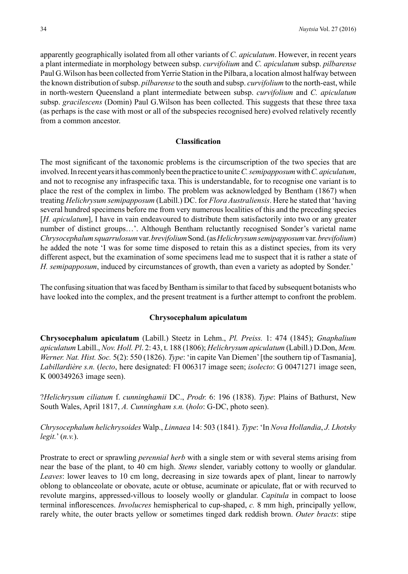apparently geographically isolated from all other variants of *C. apiculatum*. However, in recent years a plant intermediate in morphology between subsp. *curvifolium* and *C. apiculatum* subsp. *pilbarense* Paul G.Wilson has been collected from Yerrie Station in the Pilbara, a location almost halfway between the known distribution of subsp. *pilbarense* to the south and subsp. *curvifolium* to the north-east, while in north-western Queensland a plant intermediate between subsp. *curvifolium* and *C. apiculatum*  subsp. *gracilescens* (Domin) Paul G.Wilson has been collected. This suggests that these three taxa (as perhaps is the case with most or all of the subspecies recognised here) evolved relatively recently from a common ancestor.

#### **Classification**

The most significant of the taxonomic problems is the circumscription of the two species that are involved. In recent years it has commonly been the practice to unite *C. semipapposum* with *C.apiculatum*, and not to recognise any infraspecific taxa. This is understandable, for to recognise one variant is to place the rest of the complex in limbo. The problem was acknowledged by Bentham (1867) when treating *Helichrysum semipapposum* (Labill.) DC. for *Flora Australiensis*. Here he stated that 'having several hundred specimens before me from very numerous localities of this and the preceding species [*H. apiculatum*], I have in vain endeavoured to distribute them satisfactorily into two or any greater number of distinct groups…'. Although Bentham reluctantly recognised Sonder's varietal name *Chrysocephalum squarrulosum* var. *brevifolium* Sond. (as *Helichrysum semipapposum* var. *brevifolium*) he added the note 'I was for some time disposed to retain this as a distinct species, from its very different aspect, but the examination of some specimens lead me to suspect that it is rather a state of *H. semipapposum*, induced by circumstances of growth, than even a variety as adopted by Sonder.'

The confusing situation that was faced by Bentham is similar to that faced by subsequent botanists who have looked into the complex, and the present treatment is a further attempt to confront the problem.

#### **Chrysocephalum apiculatum**

**Chrysocephalum apiculatum** (Labill.) Steetz in Lehm., *Pl. Preiss.* 1: 474 (1845); *Gnaphalium apiculatum* Labill., *Nov. Holl. Pl*. 2: 43, t. 188 (1806); *Helichrysum apiculatum* (Labill.) D.Don, *Mem. Werner. Nat. Hist. Soc.* 5(2): 550 (1826). *Type*: 'in capite Van Diemen' [the southern tip of Tasmania], *Labillardière s.n.* (*lecto*, here designated: FI 006317 image seen; *isolecto*: G 00471271 image seen, K 000349263 image seen).

?*Helichrysum ciliatum* f. *cunninghamii* DC., *Prodr.* 6: 196 (1838). *Type*: Plains of Bathurst, New South Wales, April 1817, *A. Cunningham s.n.* (*holo*: G-DC, photo seen).

*Chrysocephalum helichrysoides* Walp., *Linnaea* 14: 503 (1841). *Type*: 'In *Nova Hollandia*, *J. Lhotsky legit.*' (*n.v.*).

Prostrate to erect or sprawling *perennial herb* with a single stem or with several stems arising from near the base of the plant, to 40 cm high. *Stems* slender, variably cottony to woolly or glandular. *Leaves*: lower leaves to 10 cm long, decreasing in size towards apex of plant, linear to narrowly oblong to oblanceolate or obovate, acute or obtuse, acuminate or apiculate, flat or with recurved to revolute margins, appressed-villous to loosely woolly or glandular. *Capitula* in compact to loose terminal inflorescences. *Involucres* hemispherical to cup-shaped, *c.* 8 mm high, principally yellow, rarely white, the outer bracts yellow or sometimes tinged dark reddish brown. *Outer bracts*: stipe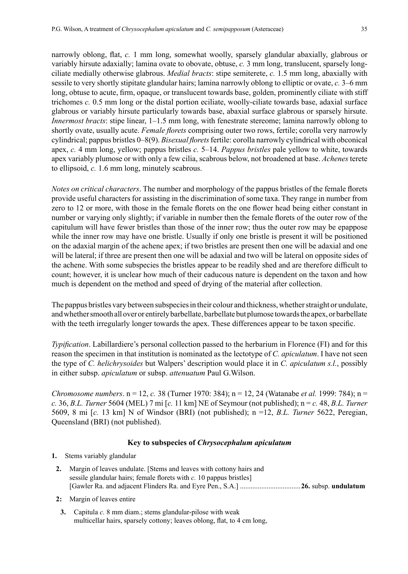narrowly oblong, flat, *c.* 1 mm long, somewhat woolly, sparsely glandular abaxially, glabrous or variably hirsute adaxially; lamina ovate to obovate, obtuse, *c.* 3 mm long, translucent, sparsely longciliate medially otherwise glabrous. *Medial bracts*: stipe semiterete, *c.* 1.5 mm long, abaxially with sessile to very shortly stipitate glandular hairs; lamina narrowly oblong to elliptic or ovate, *c.* 3–6 mm long, obtuse to acute, firm, opaque, or translucent towards base, golden, prominently ciliate with stiff trichomes *c.* 0.5 mm long or the distal portion eciliate, woolly-ciliate towards base, adaxial surface glabrous or variably hirsute particularly towards base, abaxial surface glabrous or sparsely hirsute. *Innermost bracts*: stipe linear, 1–1.5 mm long, with fenestrate stereome; lamina narrowly oblong to shortly ovate, usually acute. *Female florets* comprising outer two rows, fertile; corolla very narrowly cylindrical; pappus bristles 0–8(9). *Bisexual florets* fertile: corolla narrowly cylindrical with obconical apex, *c.* 4 mm long, yellow; pappus bristles *c.* 5–14. *Pappus bristles* pale yellow to white, towards apex variably plumose or with only a few cilia, scabrous below, not broadened at base. *Achenes* terete to ellipsoid, *c.* 1.6 mm long, minutely scabrous.

*Notes on critical characters*. The number and morphology of the pappus bristles of the female florets provide useful characters for assisting in the discrimination of some taxa. They range in number from zero to 12 or more, with those in the female florets on the one flower head being either constant in number or varying only slightly; if variable in number then the female florets of the outer row of the capitulum will have fewer bristles than those of the inner row; thus the outer row may be epappose while the inner row may have one bristle. Usually if only one bristle is present it will be positioned on the adaxial margin of the achene apex; if two bristles are present then one will be adaxial and one will be lateral; if three are present then one will be adaxial and two will be lateral on opposite sides of the achene. With some subspecies the bristles appear to be readily shed and are therefore difficult to count; however, it is unclear how much of their caducous nature is dependent on the taxon and how much is dependent on the method and speed of drying of the material after collection.

The pappus bristles vary between subspecies in their colour and thickness, whether straight or undulate, and whether smooth all over or entirely barbellate, barbellate but plumose towards the apex, or barbellate with the teeth irregularly longer towards the apex. These differences appear to be taxon specific.

*Typification*. Labillardiere's personal collection passed to the herbarium in Florence (FI) and for this reason the specimen in that institution is nominated as the lectotype of *C. apiculatum*. I have not seen the type of *C. helichrysoides* but Walpers' description would place it in *C. apiculatum s.l.*, possibly in either subsp. *apiculatum* or subsp. *attenuatum* Paul G.Wilson.

*Chromosome numbers*. n = 12, *c.* 38 (Turner 1970: 384); n = 12, 24 (Watanabe *et al.* 1999: 784); n = *c.* 36, *B.L. Turner* 5604 (MEL) 7 mi [*c.* 11 km] NE of Seymour (not published); n = *c.* 48, *B.L. Turner*  5609, 8 mi [*c.* 13 km] N of Windsor (BRI) (not published); n =12, *B.L. Turner* 5622, Peregian, Queensland (BRI) (not published).

#### **Key to subspecies of** *Chrysocephalum apiculatum*

- **1.** Stems variably glandular
- **2.** Margin of leaves undulate. [Stems and leaves with cottony hairs and sessile glandular hairs; female florets with *c.* 10 pappus bristles] [Gawler Ra. and adjacent Flinders Ra. and Eyre Pen., S.A.] ..................................**26.** subsp. **undulatum**
- **2:** Margin of leaves entire
- **3.** Capitula *c.* 8 mm diam.; stems glandular-pilose with weak multicellar hairs, sparsely cottony; leaves oblong, flat, to 4 cm long,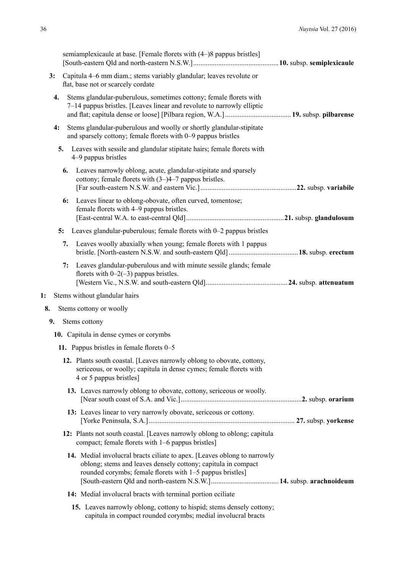|    |    | semiamplexicaule at base. [Female florets with (4–)8 pappus bristles]                                                                                                                                  |  |
|----|----|--------------------------------------------------------------------------------------------------------------------------------------------------------------------------------------------------------|--|
| 3: |    | Capitula 4–6 mm diam.; stems variably glandular; leaves revolute or<br>flat, base not or scarcely cordate                                                                                              |  |
| 4. |    | Stems glandular-puberulous, sometimes cottony; female florets with<br>7–14 pappus bristles. [Leaves linear and revolute to narrowly elliptic                                                           |  |
| 4: |    | Stems glandular-puberulous and woolly or shortly glandular-stipitate<br>and sparsely cottony; female florets with 0-9 pappus bristles                                                                  |  |
|    | 5. | Leaves with sessile and glandular stipitate hairs; female florets with<br>4–9 pappus bristles                                                                                                          |  |
|    | 6. | Leaves narrowly oblong, acute, glandular-stipitate and sparsely<br>cottony; female florets with $(3-)4-7$ pappus bristles.                                                                             |  |
|    | 6: | Leaves linear to oblong-obovate, often curved, tomentose;<br>female florets with 4–9 pappus bristles.                                                                                                  |  |
|    | 5: | Leaves glandular-puberulous; female florets with 0-2 pappus bristles                                                                                                                                   |  |
|    | 7. | Leaves woolly abaxially when young; female florets with 1 pappus                                                                                                                                       |  |
|    | 7: | Leaves glandular-puberulous and with minute sessile glands; female<br>florets with $0-2(-3)$ pappus bristles.                                                                                          |  |
| 1: |    | Stems without glandular hairs                                                                                                                                                                          |  |
| 8. |    | Stems cottony or woolly                                                                                                                                                                                |  |
| 9. |    | Stems cottony                                                                                                                                                                                          |  |
|    |    | 10. Capitula in dense cymes or corymbs                                                                                                                                                                 |  |
|    |    | 11. Pappus bristles in female florets 0–5                                                                                                                                                              |  |
|    |    | 12. Plants south coastal. [Leaves narrowly oblong to obovate, cottony,<br>sericeous, or woolly; capitula in dense cymes; female florets with<br>4 or 5 pappus bristles]                                |  |
|    |    | 13. Leaves narrowly oblong to obovate, cottony, sericeous or woolly.                                                                                                                                   |  |
|    |    | 13: Leaves linear to very narrowly obovate, sericeous or cottony.                                                                                                                                      |  |
|    |    | 12: Plants not south coastal. [Leaves narrowly oblong to oblong; capitula<br>compact; female florets with 1-6 pappus bristles]                                                                         |  |
|    |    | 14. Medial involucral bracts ciliate to apex. [Leaves oblong to narrowly<br>oblong; stems and leaves densely cottony; capitula in compact<br>rounded corymbs; female florets with 1-5 pappus bristles] |  |
|    |    | 14: Medial involucral bracts with terminal portion eciliate                                                                                                                                            |  |
|    |    | 15. Leaves narrowly oblong, cottony to hispid; stems densely cottony;<br>capitula in compact rounded corymbs; medial involucral bracts                                                                 |  |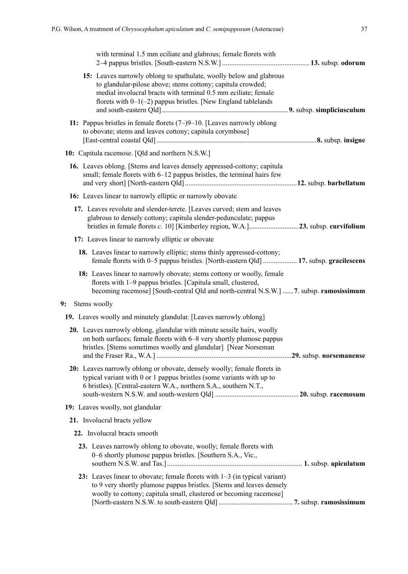**9:** 

|  | with terminal 1.5 mm eciliate and glabrous; female florets with                                                                                                                                                                                                         |  |
|--|-------------------------------------------------------------------------------------------------------------------------------------------------------------------------------------------------------------------------------------------------------------------------|--|
|  | 15: Leaves narrowly oblong to spathulate, woolly below and glabrous<br>to glandular-pilose above; stems cottony; capitula crowded;<br>medial involucral bracts with terminal 0.5 mm eciliate; female<br>florets with $0-1(-2)$ pappus bristles. [New England tablelands |  |
|  | 11: Pappus bristles in female florets $(7-9-10)$ . [Leaves narrowly oblong<br>to obovate; stems and leaves cottony; capitula corymbose]                                                                                                                                 |  |
|  | 10: Capitula racemose. [Qld and northern N.S.W.]                                                                                                                                                                                                                        |  |
|  | 16. Leaves oblong. [Stems and leaves densely appressed-cottony; capitula<br>small; female florets with 6-12 pappus bristles, the terminal hairs few                                                                                                                     |  |
|  | 16: Leaves linear to narrowly elliptic or narrowly obovate                                                                                                                                                                                                              |  |
|  | 17. Leaves revolute and slender-terete. [Leaves curved; stem and leaves<br>glabrous to densely cottony; capitula slender-pedunculate; pappus                                                                                                                            |  |
|  | 17: Leaves linear to narrowly elliptic or obovate                                                                                                                                                                                                                       |  |
|  | 18. Leaves linear to narrowly elliptic; stems thinly appressed-cottony;<br>female florets with 0–5 pappus bristles. [North-eastern Qld]  17. subsp. gracilescens                                                                                                        |  |
|  | 18: Leaves linear to narrowly obovate; stems cottony or woolly, female<br>florets with 1-9 pappus bristles. [Capitula small, clustered,<br>becoming racemose] [South-central Qld and north-central N.S.W.] 7. subsp. ramosissimum                                       |  |
|  | Stems woolly                                                                                                                                                                                                                                                            |  |
|  | 19. Leaves woolly and minutely glandular. [Leaves narrowly oblong]                                                                                                                                                                                                      |  |
|  | 20. Leaves narrowly oblong, glandular with minute sessile hairs, woolly<br>on both surfaces; female florets with 6–8 very shortly plumose pappus<br>bristles. [Stems sometimes woolly and glandular] [Near Norseman                                                     |  |
|  | 20: Leaves narrowly oblong or obovate, densely woolly; female florets in<br>typical variant with 0 or 1 pappus bristles (some variants with up to<br>6 bristles). [Central-eastern W.A., northern S.A., southern N.T.,                                                  |  |
|  | 19: Leaves woolly, not glandular                                                                                                                                                                                                                                        |  |
|  | 21. Involucral bracts yellow                                                                                                                                                                                                                                            |  |
|  | 22. Involucral bracts smooth                                                                                                                                                                                                                                            |  |
|  | 23. Leaves narrowly oblong to obovate, woolly; female florets with<br>0-6 shortly plumose pappus bristles. [Southern S.A., Vic.,                                                                                                                                        |  |
|  | 23: Leaves linear to obovate; female florets with $1-3$ (in typical variant)<br>to 9 very shortly plumose pappus bristles. [Stems and leaves densely<br>woolly to cottony; capitula small, clustered or becoming racemose]                                              |  |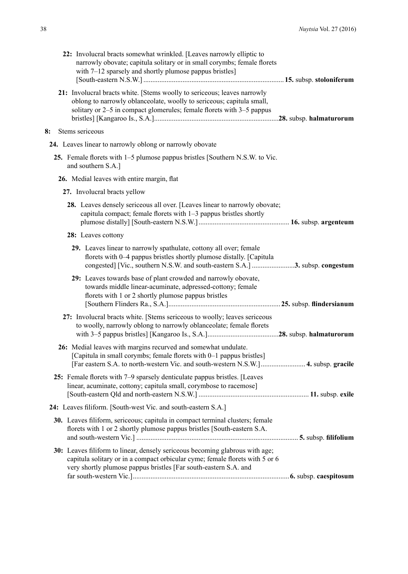| 22: Involucral bracts somewhat wrinkled. [Leaves narrowly elliptic to<br>narrowly obovate; capitula solitary or in small corymbs; female florets<br>with 7–12 sparsely and shortly plumose pappus bristles]                      |
|----------------------------------------------------------------------------------------------------------------------------------------------------------------------------------------------------------------------------------|
| 21: Involucral bracts white. [Stems woolly to sericeous; leaves narrowly<br>oblong to narrowly oblanceolate, woolly to sericeous; capitula small,<br>solitary or 2–5 in compact glomerules; female florets with 3–5 pappus       |
| Stems sericeous<br>8:                                                                                                                                                                                                            |
| 24. Leaves linear to narrowly oblong or narrowly obovate                                                                                                                                                                         |
| 25. Female florets with 1–5 plumose pappus bristles [Southern N.S.W. to Vic.<br>and southern S.A.]                                                                                                                               |
| 26. Medial leaves with entire margin, flat                                                                                                                                                                                       |
| 27. Involucral bracts yellow                                                                                                                                                                                                     |
| 28. Leaves densely sericeous all over. [Leaves linear to narrowly obovate;<br>capitula compact; female florets with 1-3 pappus bristles shortly                                                                                  |
| 28: Leaves cottony                                                                                                                                                                                                               |
| 29. Leaves linear to narrowly spathulate, cottony all over; female<br>florets with 0-4 pappus bristles shortly plumose distally. [Capitula<br>congested] [Vic., southern N.S.W. and south-eastern S.A.] 3. subsp. congestum      |
| 29: Leaves towards base of plant crowded and narrowly obovate,<br>towards middle linear-acuminate, adpressed-cottony; female<br>florets with 1 or 2 shortly plumose pappus bristles                                              |
| 27: Involucral bracts white. [Stems sericeous to woolly; leaves sericeous<br>to woolly, narrowly oblong to narrowly oblanceolate; female florets                                                                                 |
| 26: Medial leaves with margins recurved and somewhat undulate.<br>[Capitula in small corymbs; female florets with 0–1 pappus bristles]<br>[Far eastern S.A. to north-western Vic. and south-western N.S.W.] 4. subsp. gracile    |
| 25: Female florets with 7-9 sparsely denticulate pappus bristles. [Leaves<br>linear, acuminate, cottony; capitula small, corymbose to racemose]                                                                                  |
| 24: Leaves filiform. [South-west Vic. and south-eastern S.A.]                                                                                                                                                                    |
| 30. Leaves filiform, sericeous; capitula in compact terminal clusters; female<br>florets with 1 or 2 shortly plumose pappus bristles [South-eastern S.A.                                                                         |
| 30: Leaves filiform to linear, densely sericeous becoming glabrous with age;<br>capitula solitary or in a compact orbicular cyme; female florets with 5 or 6<br>very shortly plumose pappus bristles [Far south-eastern S.A. and |
|                                                                                                                                                                                                                                  |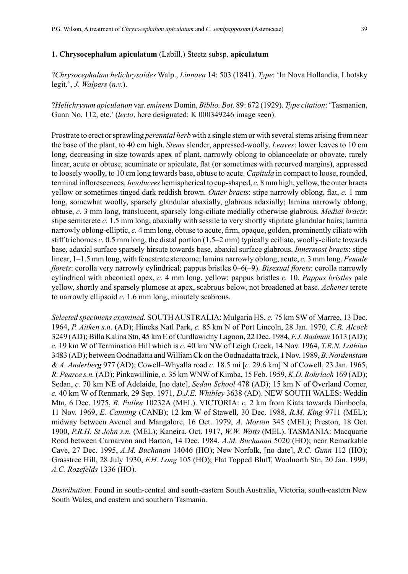#### **1. Chrysocephalum apiculatum** (Labill.) Steetz subsp. **apiculatum**

?*Chrysocephalum helichrysoides* Walp., *Linnaea* 14: 503 (1841). *Type*: 'In Nova Hollandia, Lhotsky legit.', *J. Walpers* (*n.v.*).

?*Helichrysum apiculatum* var. *eminens* Domin, *Biblio. Bot.* 89: 672 (1929). *Type citation*: 'Tasmanien, Gunn No. 112, etc.' (*lecto*, here designated: K 000349246 image seen).

Prostrate to erect or sprawling *perennial herb* with a single stem or with several stems arising from near the base of the plant, to 40 cm high. *Stems* slender, appressed-woolly. *Leaves*: lower leaves to 10 cm long, decreasing in size towards apex of plant, narrowly oblong to oblanceolate or obovate, rarely linear, acute or obtuse, acuminate or apiculate, flat (or sometimes with recurved margins), appressed to loosely woolly, to 10 cm long towards base, obtuse to acute. *Capitula* in compact to loose, rounded, terminal inflorescences. *Involucres* hemispherical to cup-shaped, *c.* 8 mm high, yellow, the outer bracts yellow or sometimes tinged dark reddish brown. *Outer bracts*: stipe narrowly oblong, flat, *c.* 1 mm long, somewhat woolly, sparsely glandular abaxially, glabrous adaxially; lamina narrowly oblong, obtuse, *c.* 3 mm long, translucent, sparsely long-ciliate medially otherwise glabrous. *Medial bracts*: stipe semiterete *c.* 1.5 mm long, abaxially with sessile to very shortly stipitate glandular hairs; lamina narrowly oblong-elliptic, *c.* 4 mm long, obtuse to acute, firm, opaque, golden, prominently ciliate with stiff trichomes *c.* 0.5 mm long, the distal portion (1.5–2 mm) typically eciliate, woolly-ciliate towards base, adaxial surface sparsely hirsute towards base, abaxial surface glabrous. *Innermost bracts*: stipe linear, 1–1.5 mm long, with fenestrate stereome; lamina narrowly oblong, acute, *c.* 3 mm long. *Female florets*: corolla very narrowly cylindrical; pappus bristles 0–6(–9). *Bisexual florets*: corolla narrowly cylindrical with obconical apex, *c.* 4 mm long, yellow; pappus bristles *c.* 10. *Pappus bristles* pale yellow, shortly and sparsely plumose at apex, scabrous below, not broadened at base. *Achenes* terete to narrowly ellipsoid *c.* 1.6 mm long, minutely scabrous.

*Selected specimens examined*. SOUTH AUSTRALIA: Mulgaria HS, *c.* 75 km SW of Marree, 13 Dec. 1964, *P. Aitken s.n.* (AD); Hincks Natl Park, *c.* 85 km N of Port Lincoln, 28 Jan. 1970, *C.R. Alcock* 3249 (AD); Billa Kalina Stn, 45 km E of Curdlawidny Lagoon, 22 Dec. 1984, *F.J. Badman* 1613 (AD); *c.* 19 km W of Termination Hill which is *c.* 40 km NW of Leigh Creek, 14 Nov. 1964, *T.R.N. Lothian* 3483 (AD); between Oodnadatta and William Ck on the Oodnadatta track, 1 Nov. 1989, *B.Nordenstam & A. Anderberg* 977 (AD); Cowell–Whyalla road *c.* 18.5 mi [*c.* 29.6 km] N of Cowell, 23 Jan. 1965, *R. Pearce s.n.* (AD); Pinkawillinie, *c.* 35 km WNW of Kimba, 15 Feb. 1959, *K.D. Rohrlach* 169 (AD); Sedan, *c.* 70 km NE of Adelaide, [no date], *Sedan School* 478 (AD); 15 km N of Overland Corner, *c.* 40 km W of Renmark, 29 Sep. 1971, *D.J.E. Whibley* 3638 (AD). NEW SOUTH WALES: Weddin Mtn, 6 Dec. 1975, *R. Pullen* 10232A (MEL). VICTORIA: *c.* 2 km from Kiata towards Dimboola, 11 Nov. 1969, *E. Canning* (CANB); 12 km W of Stawell, 30 Dec. 1988, *R.M. King* 9711 (MEL); midway between Avenel and Mangalore, 16 Oct. 1979, *A. Morton* 345 (MEL); Preston, 18 Oct. 1900, *P.R.H. St John s.n.* (MEL); Kaneira, Oct. 1917, *W.W. Watts* (MEL). TASMANIA: Macquarie Road between Carnarvon and Barton, 14 Dec. 1984, *A.M. Buchanan* 5020 (HO); near Remarkable Cave, 27 Dec. 1995, *A.M. Buchanan* 14046 (HO); New Norfolk, [no date], *R.C. Gunn* 112 (HO); Grasstree Hill, 28 July 1930, *F.H. Long* 105 (HO); Flat Topped Bluff, Woolnorth Stn, 20 Jan. 1999, *A.C. Rozefelds* 1336 (HO).

*Distribution*. Found in south-central and south-eastern South Australia, Victoria, south-eastern New South Wales, and eastern and southern Tasmania.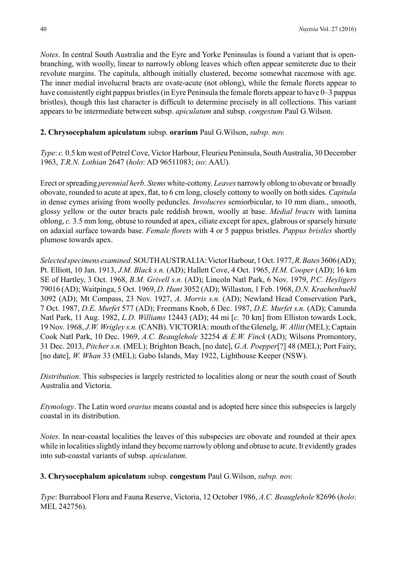*Notes*. In central South Australia and the Eyre and Yorke Peninsulas is found a variant that is openbranching, with woolly, linear to narrowly oblong leaves which often appear semiterete due to their revolute margins. The capitula, although initially clustered, become somewhat racemose with age. The inner medial involucral bracts are ovate-acute (not oblong), while the female florets appear to have consistently eight pappus bristles (in Eyre Peninsula the female florets appear to have 0–3 pappus bristles), though this last character is difficult to determine precisely in all collections. This variant appears to be intermediate between subsp. *apiculatum* and subsp. *congestum* Paul G.Wilson.

# **2. Chrysocephalum apiculatum** subsp. **orarium** Paul G.Wilson, *subsp. nov.*

*Type*: *c.* 0.5 km west of Petrel Cove, Victor Harbour, Fleurieu Peninsula, South Australia, 30 December 1963, *T.R.N. Lothian* 2647 (*holo*: AD 96511083; *iso*: AAU).

Erect or spreading *perennial herb*. *Stems* white-cottony. *Leaves* narrowly oblong to obovate or broadly obovate, rounded to acute at apex, flat, to 6 cm long, closely cottony to woolly on both sides. *Capitula* in dense cymes arising from woolly peduncles. *Involucres* semiorbicular, to 10 mm diam., smooth, glossy yellow or the outer bracts pale reddish brown, woolly at base. *Medial bracts* with lamina oblong, *c.* 3.5 mm long, obtuse to rounded at apex, ciliate except for apex, glabrous or sparsely hirsute on adaxial surface towards base. *Female florets* with 4 or 5 pappus bristles. *Pappus bristles* shortly plumose towards apex.

*Selected specimens examined*. SOUTH AUSTRALIA: Victor Harbour, 1 Oct. 1977, *R. Bates* 3606 (AD); Pt. Elliott, 10 Jan. 1913, *J.M. Black s.n.* (AD); Hallett Cove, 4 Oct. 1965, *H.M. Cooper* (AD); 16 km SE of Hartley, 3 Oct. 1968, *B.M. Grivell s.n.* (AD); Lincoln Natl Park, 6 Nov. 1979, *P.C. Heyligers* 79016 (AD); Waitpinga, 5 Oct. 1969, *D. Hunt* 3052 (AD); Willaston, 1 Feb. 1968, *D.N. Kraehenbuehl* 3092 (AD); Mt Compass, 23 Nov. 1927, *A. Morris s.n.* (AD); Newland Head Conservation Park, 7 Oct. 1987, *D.E. Murfet* 577 (AD); Freemans Knob, 6 Dec. 1987, *D.E. Murfet s.n.* (AD); Canunda Natl Park, 11 Aug. 1982, *L.D. Williams* 12443 (AD); 44 mi [*c.* 70 km] from Elliston towards Lock, 19 Nov. 1968, *J.W. Wrigley s.n.* (CANB). VICTORIA: mouth of the Glenelg, *W. Allitt* (MEL); Captain Cook Natl Park, 10 Dec. 1969, *A.C. Beauglehole* 32254 *& E.W. Finck* (AD); Wilsons Promontory, 31 Dec. 2013, *Pitcher s.n.* (MEL); Brighton Beach, [no date], *G.A. Poepper*[?] 48 (MEL); Port Fairy, [no date], *W. Whan* 33 (MEL); Gabo Islands, May 1922, Lighthouse Keeper (NSW).

*Distribution*. This subspecies is largely restricted to localities along or near the south coast of South Australia and Victoria.

*Etymology*. The Latin word *orarius* means coastal and is adopted here since this subspecies is largely coastal in its distribution.

*Notes*. In near-coastal localities the leaves of this subspecies are obovate and rounded at their apex while in localities slightly inland they become narrowly oblong and obtuse to acute. It evidently grades into sub-coastal variants of subsp. *apiculatum*.

**3. Chrysocephalum apiculatum** subsp. **congestum** Paul G.Wilson, *subsp. nov.*

*Type*: Burrabool Flora and Fauna Reserve, Victoria, 12 October 1986, *A.C. Beauglehole* 82696 (*holo*: MEL 242756).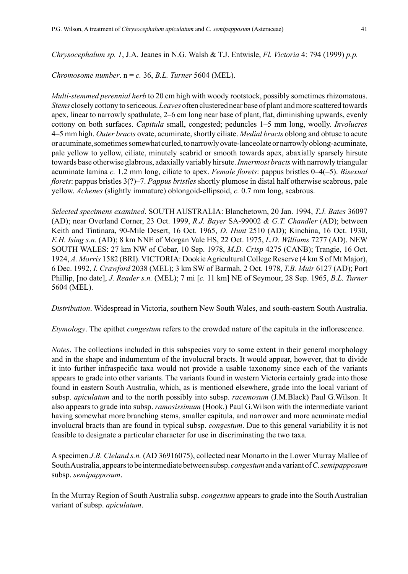*Chromosome number*. n = *c.* 36, *B.L. Turner* 5604 (MEL).

*Multi-stemmed perennial herb* to 20 cm high with woody rootstock, possibly sometimes rhizomatous. *Stems* closely cottony to sericeous. *Leaves* often clustered near base of plant and more scattered towards apex, linear to narrowly spathulate, 2–6 cm long near base of plant, flat, diminishing upwards, evenly cottony on both surfaces. *Capitula* small, congested; peduncles 1–5 mm long, woolly. *Involucres* 4–5 mm high. *Outer bracts* ovate, acuminate, shortly ciliate. *Medial bracts* oblong and obtuse to acute or acuminate, sometimes somewhat curled, to narrowly ovate-lanceolate or narrowly oblong-acuminate, pale yellow to yellow, ciliate, minutely scabrid or smooth towards apex, abaxially sparsely hirsute towards base otherwise glabrous, adaxially variably hirsute. *Innermost bracts* with narrowly triangular acuminate lamina *c.* 1.2 mm long, ciliate to apex. *Female florets*: pappus bristles 0–4(–5). *Bisexual florets*: pappus bristles 3(?)–7. *Pappus bristles* shortly plumose in distal half otherwise scabrous, pale yellow. *Achenes* (slightly immature) oblongoid-ellipsoid, *c.* 0.7 mm long, scabrous.

*Selected specimens examined*. SOUTH AUSTRALIA: Blanchetown, 20 Jan. 1994, *T.J. Bates* 36097 (AD); near Overland Corner, 23 Oct. 1999, *R.J. Bayer* SA-99002 *& G.T. Chandler* (AD); between Keith and Tintinara, 90-Mile Desert, 16 Oct. 1965, *D. Hunt* 2510 (AD); Kinchina, 16 Oct. 1930, *E.H. Ising s.n.* (AD); 8 km NNE of Morgan Vale HS, 22 Oct. 1975, *L.D. Williams* 7277 (AD). NEW SOUTH WALES: 27 km NW of Cobar, 10 Sep. 1978, *M.D. Crisp* 4275 (CANB); Trangie, 16 Oct. 1924, *A. Morris* 1582 (BRI). VICTORIA: Dookie Agricultural College Reserve (4 km S of Mt Major), 6 Dec. 1992, *I. Crawford* 2038 (MEL); 3 km SW of Barmah, 2 Oct. 1978, *T.B. Muir* 6127 (AD); Port Phillip, [no date], *J. Reader s.n.* (MEL); 7 mi [*c.* 11 km] NE of Seymour, 28 Sep. 1965, *B.L. Turner* 5604 (MEL).

*Distribution*. Widespread in Victoria, southern New South Wales, and south-eastern South Australia.

*Etymology*. The epithet *congestum* refers to the crowded nature of the capitula in the inflorescence.

*Notes*. The collections included in this subspecies vary to some extent in their general morphology and in the shape and indumentum of the involucral bracts. It would appear, however, that to divide it into further infraspecific taxa would not provide a usable taxonomy since each of the variants appears to grade into other variants. The variants found in western Victoria certainly grade into those found in eastern South Australia, which, as is mentioned elsewhere, grade into the local variant of subsp. *apiculatum* and to the north possibly into subsp. *racemosum* (J.M.Black) Paul G.Wilson. It also appears to grade into subsp. *ramosissimum* (Hook.) Paul G.Wilson with the intermediate variant having somewhat more branching stems, smaller capitula, and narrower and more acuminate medial involucral bracts than are found in typical subsp. *congestum*. Due to this general variability it is not feasible to designate a particular character for use in discriminating the two taxa.

A specimen *J.B. Cleland s.n.* (AD 36916075), collected near Monarto in the Lower Murray Mallee of South Australia, appears to be intermediate between subsp. *congestum* and a variant of *C.semipapposum* subsp. *semipapposum*.

In the Murray Region of South Australia subsp. *congestum* appears to grade into the South Australian variant of subsp. *apiculatum*.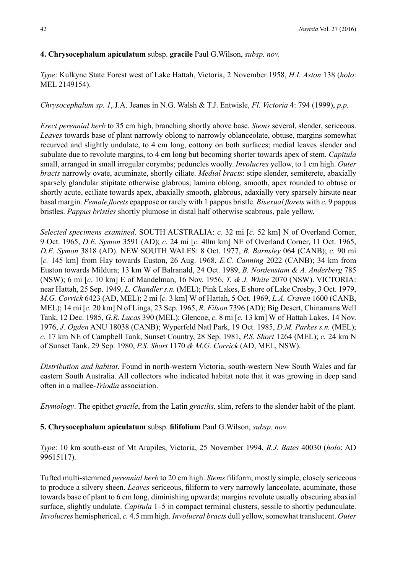# **4. Chrysocephalum apiculatum** subsp. **gracile** Paul G.Wilson, *subsp. nov.*

*Type*: Kulkyne State Forest west of Lake Hattah, Victoria, 2 November 1958, *H.I. Aston* 138 (*holo*: MEL 2149154).

*Chrysocephalum sp. 1*, J.A. Jeanes in N.G. Walsh & T.J. Entwisle, *Fl. Victoria* 4: 794 (1999), *p.p.*

*Erect perennial herb* to 35 cm high, branching shortly above base. *Stems* several, slender, sericeous. *Leaves* towards base of plant narrowly oblong to narrowly oblanceolate, obtuse, margins somewhat recurved and slightly undulate, to 4 cm long, cottony on both surfaces; medial leaves slender and subulate due to revolute margins, to 4 cm long but becoming shorter towards apex of stem. *Capitula* small, arranged in small irregular corymbs; peduncles woolly. *Involucres* yellow, to 1 cm high. *Outer bracts* narrowly ovate, acuminate, shortly ciliate. *Medial bracts*: stipe slender, semiterete, abaxially sparsely glandular stipitate otherwise glabrous; lamina oblong, smooth, apex rounded to obtuse or shortly acute, eciliate towards apex, abaxially smooth, glabrous, adaxially very sparsely hirsute near basal margin. *Female florets* epappose or rarely with 1 pappus bristle. *Bisexual florets* with *c.* 9 pappus bristles. *Pappus bristles* shortly plumose in distal half otherwise scabrous, pale yellow.

*Selected specimens examined*. SOUTH AUSTRALIA: *c.* 32 mi [*c.* 52 km] N of Overland Corner, 9 Oct. 1965, *D.E. Symon* 3591 (AD); *c.* 24 mi [*c.* 40m km] NE of Overland Corner, 11 Oct. 1965, *D.E. Symon* 3818 (AD). NEW SOUTH WALES: 8 Oct. 1977, *B. Barnsley* 064 (CANB); *c.* 90 mi [*c.* 145 km] from Hay towards Euston, 26 Aug. 1968, *E.C. Canning* 2022 (CANB); 34 km from Euston towards Mildura; 13 km W of Balranald, 24 Oct. 1989, *B. Nordenstam & A. Anderberg* 785 (NSW); 6 mi [*c.* 10 km] E of Mandelman, 16 Nov. 1956, *T. & J. White* 2070 (NSW). VICTORIA: near Hattah, 25 Sep. 1949, *L. Chandler s.n.* (MEL); Pink Lakes, E shore of Lake Crosby, 3 Oct. 1979, *M.G. Corrick* 6423 (AD, MEL); 2 mi [*c.* 3 km] W of Hattah, 5 Oct. 1969, *L.A. Craven* 1600 (CANB, MEL); 14 mi [*c.* 20 km] N of Linga, 23 Sep. 1965, *R. Filson* 7396 (AD); Big Desert, Chinamans Well Tank, 12 Dec. 1985, *G.R. Lucas* 390 (MEL); Glencoe, *c.* 8 mi [*c.* 13 km] W of Hattah Lakes, 14 Nov. 1976, *J. Ogden* ANU 18038 (CANB); Wyperfeld Natl Park, 19 Oct. 1985, *D.M. Parkes s.n.* (MEL); *c.* 17 km NE of Campbell Tank, Sunset Country, 28 Sep. 1981, *P.S. Short* 1264 (MEL); *c.* 24 km N of Sunset Tank, 29 Sep. 1980, *P.S. Short* 1170 *& M.G. Corrick* (AD, MEL, NSW).

*Distribution and habitat*. Found in north-western Victoria, south-western New South Wales and far eastern South Australia. All collectors who indicated habitat note that it was growing in deep sand often in a mallee-*Triodia* association.

*Etymology*. The epithet *gracile*, from the Latin *gracilis*, slim, refers to the slender habit of the plant.

**5. Chrysocephalum apiculatum** subsp. **filifolium** Paul G.Wilson, *subsp. nov.*

*Type*: 10 km south-east of Mt Arapiles, Victoria, 25 November 1994, *R.J. Bates* 40030 (*holo*: AD 99615117).

Tufted multi-stemmed *perennial herb* to 20 cm high. *Stems* filiform, mostly simple, closely sericeous to produce a silvery sheen. *Leaves* sericeous, filiform to very narrowly lanceolate, acuminate, those towards base of plant to 6 cm long, diminishing upwards; margins revolute usually obscuring abaxial surface, slightly undulate. *Capitula* 1–5 in compact terminal clusters, sessile to shortly pedunculate. *Involucres* hemispherical, *c.* 4.5 mm high. *Involucral bracts* dull yellow, somewhat translucent. *Outer*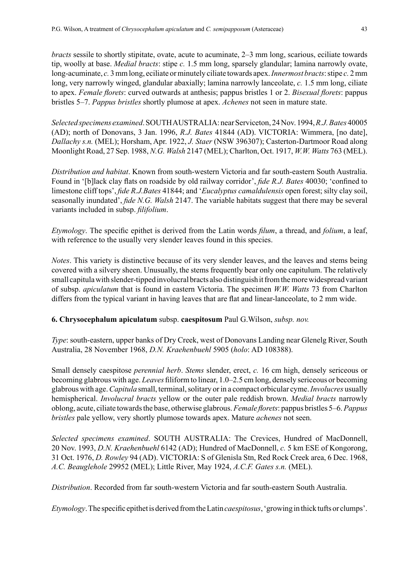*bracts* sessile to shortly stipitate, ovate, acute to acuminate, 2–3 mm long, scarious, eciliate towards tip, woolly at base. *Medial bracts*: stipe *c.* 1.5 mm long, sparsely glandular; lamina narrowly ovate, long-acuminate, *c.* 3 mm long, eciliate or minutely ciliate towards apex. *Innermost bracts*: stipe *c.* 2mm long, very narrowly winged, glandular abaxially; lamina narrowly lanceolate, *c.* 1.5 mm long, ciliate to apex. *Female florets*: curved outwards at anthesis; pappus bristles 1 or 2. *Bisexual florets*: pappus bristles 5–7. *Pappus bristles* shortly plumose at apex. *Achenes* not seen in mature state.

*Selected specimens examined*. SOUTH AUSTRALIA: near Serviceton, 24 Nov. 1994, *R.J. Bates* 40005 (AD); north of Donovans, 3 Jan. 1996, *R.J. Bates* 41844 (AD). VICTORIA: Wimmera, [no date], *Dallachy s.n.* (MEL); Horsham, Apr. 1922, *J. Staer* (NSW 396307); Casterton-Dartmoor Road along Moonlight Road, 27 Sep. 1988, *N.G. Walsh* 2147 (MEL); Charlton, Oct. 1917, *W.W. Watts* 763 (MEL).

*Distribution and habitat*. Known from south-western Victoria and far south-eastern South Australia. Found in '[b]lack clay flats on roadside by old railway corridor', *fide R.J. Bates* 40030; 'confined to limestone cliff tops', *fide R.J.Bates* 41844; and '*Eucalyptus camaldulensis* open forest; silty clay soil, seasonally inundated', *fide N.G. Walsh* 2147. The variable habitats suggest that there may be several variants included in subsp. *filifolium*.

*Etymology*. The specific epithet is derived from the Latin words *filum*, a thread, and *folium*, a leaf, with reference to the usually very slender leaves found in this species.

*Notes*. This variety is distinctive because of its very slender leaves, and the leaves and stems being covered with a silvery sheen. Unusually, the stems frequently bear only one capitulum. The relatively small capitula with slender-tipped involucral bracts also distinguish it from the more widespread variant of subsp. *apiculatum* that is found in eastern Victoria. The specimen *W.W. Watts* 73 from Charlton differs from the typical variant in having leaves that are flat and linear-lanceolate, to 2 mm wide.

**6. Chrysocephalum apiculatum** subsp. **caespitosum** Paul G.Wilson, *subsp. nov.*

*Type*: south-eastern, upper banks of Dry Creek, west of Donovans Landing near Glenelg River, South Australia, 28 November 1968, *D.N. Kraehenbuehl* 5905 (*holo*: AD 108388).

Small densely caespitose *perennial herb*. *Stems* slender, erect, *c.* 16 cm high, densely sericeous or becoming glabrous with age. *Leaves* filiform to linear, 1.0–2.5 cm long, densely sericeous or becoming glabrous with age. *Capitula* small, terminal, solitary or in a compact orbicular cyme. *Involucres* usually hemispherical. *Involucral bracts* yellow or the outer pale reddish brown. *Medial bracts* narrowly oblong, acute, ciliate towards the base, otherwise glabrous. *Female florets*: pappus bristles 5–6. *Pappus bristles* pale yellow, very shortly plumose towards apex. Mature *achenes* not seen.

*Selected specimens examined*. SOUTH AUSTRALIA: The Crevices, Hundred of MacDonnell, 20 Nov. 1993, *D.N. Kraehenbuehl* 6142 (AD); Hundred of MacDonnell, *c.* 5 km ESE of Kongorong, 31 Oct. 1976, *D. Rowley* 94 (AD). VICTORIA: S of Glenisla Stn, Red Rock Creek area, 6 Dec. 1968, *A.C. Beauglehole* 29952 (MEL); Little River, May 1924, *A.C.F. Gates s.n.* (MEL).

*Distribution*. Recorded from far south-western Victoria and far south-eastern South Australia.

*Etymology*.The specific epithet is derived from the Latin *caespitosus*, 'growing in thick tufts or clumps'.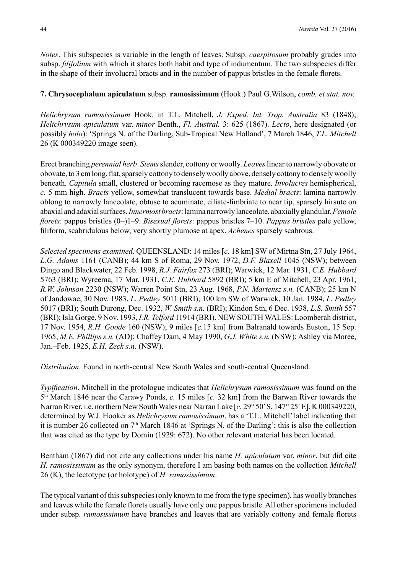*Notes*. This subspecies is variable in the length of leaves. Subsp. *caespitosum* probably grades into subsp. *filifolium* with which it shares both habit and type of indumentum. The two subspecies differ in the shape of their involucral bracts and in the number of pappus bristles in the female florets.

## **7. Chrysocephalum apiculatum** subsp. **ramosissimum** (Hook.) Paul G.Wilson, *comb. et stat. nov.*

*Helichrysum ramosissimum* Hook. in T.L. Mitchell, *J. Exped. Int. Trop. Australia* 83 (1848); *Helichrysum apiculatum* var. *minor* Benth., *Fl. Austral.* 3: 625 (1867). *Lecto*, here designated (or possibly *holo*): 'Springs N. of the Darling, Sub-Tropical New Holland', 7 March 1846, *T.L. Mitchell* 26 (K 000349220 image seen).

Erect branching *perennial herb*. *Stems* slender, cottony or woolly. *Leaves* linear to narrowly obovate or obovate, to 3 cm long, flat, sparsely cottony to densely woolly above, densely cottony to densely woolly beneath. *Capitula* small, clustered or becoming racemose as they mature. *Involucres* hemispherical, *c.* 5 mm high. *Bracts* yellow, somewhat translucent towards base. *Medial bracts*: lamina narrowly oblong to narrowly lanceolate, obtuse to acuminate, ciliate-fimbriate to near tip, sparsely hirsute on abaxial and adaxial surfaces. *Innermost bracts*: lamina narrowly lanceolate, abaxially glandular. *Female florets*: pappus bristles (0–)1–9. *Bisexual florets*: pappus bristles 7–10. *Pappus bristles* pale yellow, filiform, scabridulous below, very shortly plumose at apex. *Achenes* sparsely scabrous.

*Selected specimens examined*. QUEENSLAND: 14 miles [*c.* 18 km] SW of Mirtna Stn, 27 July 1964, *L.G. Adams* 1161 (CANB); 44 km S of Roma, 29 Nov. 1972, *D.F. Blaxell* 1045 (NSW); between Dingo and Blackwater, 22 Feb. 1998, *R.J. Fairfax* 273 (BRI); Warwick, 12 Mar. 1931, *C.E. Hubbard* 5763 (BRI); Wyreema, 17 Mar. 1931, *C.E. Hubbard* 5892 (BRI); 5 km E of Mitchell, 23 Apr. 1961, *R.W. Johnson* 2230 (NSW); Warren Point Stn, 23 Aug. 1968, *P.N. Martensz s.n.* (CANB); 25 km N of Jandowae, 30 Nov. 1983, *L. Pedley* 5011 (BRI); 100 km SW of Warwick, 10 Jan. 1984, *L. Pedley* 5017 (BRI); South Durong, Dec. 1932, *W. Smith s.n.* (BRI); Kindon Stn, 6 Dec. 1938, *L.S. Smith* 557 (BRI); Isla Gorge, 9 Nov. 1993, *I.R. Telford* 11914 (BRI). NEW SOUTH WALES: Loomberah district, 17 Nov. 1954, *R.H. Goode* 160 (NSW); 9 miles [*c.*15 km] from Balranald towards Euston, 15 Sep. 1965, *M.E. Phillips s.n.* (AD); Chaffey Dam, 4 May 1990, *G.J. White s.n.* (NSW); Ashley via Moree, Jan.–Feb. 1925, *E.H. Zeck s.n.* (NSW).

*Distribution*. Found in north-central New South Wales and south-central Queensland.

*Typification*. Mitchell in the protologue indicates that *Helichrysum ramosissimum* was found on the 5th March 1846 near the Carawy Ponds, *c.* 15 miles [*c.* 32 km] from the Barwan River towards the Narran River, i.e. northern New South Wales near Narran Lake [*c.* 29° 50′ S, 147° 25′ E]. K 000349220, determined by W.J. Hooker as *Helichrysum ramosissimum*, has a 'T.L. Mitchell' label indicating that it is number 26 collected on  $7<sup>th</sup>$  March 1846 at 'Springs N. of the Darling'; this is also the collection that was cited as the type by Domin (1929: 672). No other relevant material has been located.

Bentham (1867) did not cite any collections under his name *H. apiculatum* var. *minor*, but did cite *H. ramosissimum* as the only synonym, therefore I am basing both names on the collection *Mitchell* 26 (K), the lectotype (or holotype) of *H. ramosissimum*.

The typical variant of this subspecies (only known to me from the type specimen), has woolly branches and leaves while the female florets usually have only one pappus bristle. All other specimens included under subsp. *ramosissimum* have branches and leaves that are variably cottony and female florets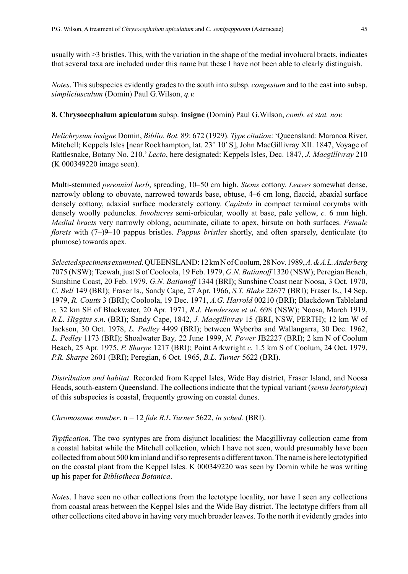usually with >3 bristles. This, with the variation in the shape of the medial involucral bracts, indicates that several taxa are included under this name but these I have not been able to clearly distinguish.

*Notes*. This subspecies evidently grades to the south into subsp. *congestum* and to the east into subsp. *simpliciusculum* (Domin) Paul G.Wilson, *q.v.*

#### **8. Chrysocephalum apiculatum** subsp. **insigne** (Domin) Paul G.Wilson, *comb. et stat. nov.*

*Helichrysum insigne* Domin, *Biblio. Bot.* 89: 672 (1929). *Type citation*: 'Queensland: Maranoa River, Mitchell; Keppels Isles [near Rockhampton, lat. 23° 10′ S], John MacGillivray XII. 1847, Voyage of Rattlesnake, Botany No. 210.' *Lecto*, here designated: Keppels Isles, Dec. 1847, *J. Macgillivray* 210 (K 000349220 image seen).

Multi-stemmed *perennial herb*, spreading, 10–50 cm high. *Stems* cottony. *Leaves* somewhat dense, narrowly oblong to obovate, narrowed towards base, obtuse, 4–6 cm long, flaccid, abaxial surface densely cottony, adaxial surface moderately cottony. *Capitula* in compact terminal corymbs with densely woolly peduncles. *Involucres* semi-orbicular, woolly at base, pale yellow, *c.* 6 mm high. *Medial bracts* very narrowly oblong, acuminate, ciliate to apex, hirsute on both surfaces. *Female florets* with (7–)9–10 pappus bristles. *Pappus bristles* shortly, and often sparsely, denticulate (to plumose) towards apex.

*Selected specimens examined*. QUEENSLAND: 12 km N of Coolum, 28 Nov. 1989, *A. & A.L. Anderberg* 7075 (NSW); Teewah, just S of Cooloola, 19 Feb. 1979, *G.N. Batianoff* 1320 (NSW); Peregian Beach, Sunshine Coast, 20 Feb. 1979, *G.N. Batianoff* 1344 (BRI); Sunshine Coast near Noosa, 3 Oct. 1970, *C. Bell* 149 (BRI); Fraser Is., Sandy Cape, 27 Apr. 1966, *S.T. Blake* 22677 (BRI); Fraser Is., 14 Sep. 1979, *R. Coutts* 3 (BRI); Cooloola, 19 Dec. 1971, *A.G. Harrold* 00210 (BRI); Blackdown Tableland *c.* 32 km SE of Blackwater, 20 Apr. 1971, *R.J. Henderson et al*. 698 (NSW); Noosa, March 1919, *R.L. Higgins s.n*. (BRI); Sandy Cape, 1842, *J. Macgillivray* 15 (BRI, NSW, PERTH); 12 km W of Jackson, 30 Oct. 1978, *L. Pedley* 4499 (BRI); between Wyberba and Wallangarra, 30 Dec. 1962, *L. Pedley* 1173 (BRI); Shoalwater Bay*,* 22 June 1999, *N. Power* JB2227 (BRI); 2 km N of Coolum Beach, 25 Apr. 1975, *P. Sharpe* 1217 (BRI); Point Arkwright *c.* 1.5 km S of Coolum, 24 Oct. 1979, *P.R. Sharpe* 2601 (BRI); Peregian, 6 Oct. 1965, *B.L. Turner* 5622 (BRI).

*Distribution and habitat*. Recorded from Keppel Isles, Wide Bay district, Fraser Island, and Noosa Heads, south-eastern Queensland. The collections indicate that the typical variant (*sensu lectotypica*) of this subspecies is coastal, frequently growing on coastal dunes.

*Chromosome number*. n = 12 *fide B.L.Turner* 5622, *in sched.* (BRI).

*Typification*. The two syntypes are from disjunct localities: the Macgillivray collection came from a coastal habitat while the Mitchell collection, which I have not seen, would presumably have been collected from about 500 km inland and if so represents a different taxon. The name is here lectotypified on the coastal plant from the Keppel Isles. K 000349220 was seen by Domin while he was writing up his paper for *Bibliotheca Botanica*.

*Notes*. I have seen no other collections from the lectotype locality, nor have I seen any collections from coastal areas between the Keppel Isles and the Wide Bay district. The lectotype differs from all other collections cited above in having very much broader leaves. To the north it evidently grades into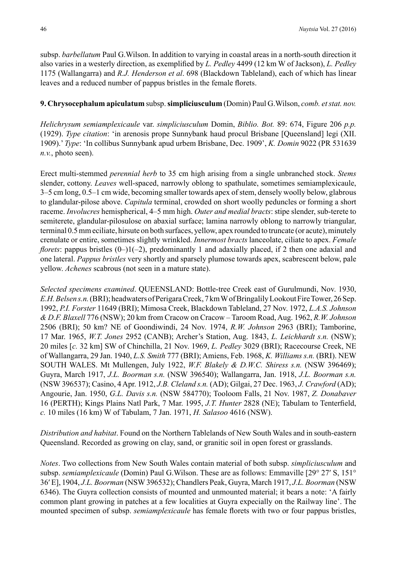subsp. *barbellatum* Paul G.Wilson. In addition to varying in coastal areas in a north-south direction it also varies in a westerly direction, as exemplified by *L. Pedley* 4499 (12 km W of Jackson), *L. Pedley* 1175 (Wallangarra) and *R.J. Henderson et al*. 698 (Blackdown Tableland), each of which has linear leaves and a reduced number of pappus bristles in the female florets.

## **9. Chrysocephalum apiculatum** subsp. **simpliciusculum** (Domin) Paul G.Wilson, *comb. et stat. nov.*

*Helichrysum semiamplexicaule* var. *simpliciusculum* Domin, *Biblio. Bot.* 89: 674, Figure 206 *p.p.*  (1929). *Type citation*: 'in arenosis prope Sunnybank haud procul Brisbane [Queensland] legi (XII. 1909).' *Type*: 'In collibus Sunnybank apud urbem Brisbane, Dec. 1909', *K. Domin* 9022 (PR 531639 *n.v.*, photo seen).

Erect multi-stemmed *perennial herb* to 35 cm high arising from a single unbranched stock. *Stems* slender, cottony. *Leaves* well-spaced, narrowly oblong to spathulate, sometimes semiamplexicaule, 3–5 cm long, 0.5–1 cm wide, becoming smaller towards apex of stem, densely woolly below, glabrous to glandular-pilose above. *Capitula* terminal, crowded on short woolly peduncles or forming a short raceme. *Involucres* hemispherical, 4–5 mm high. *Outer and medial bracts*: stipe slender, sub-terete to semiterete, glandular-pilosulose on abaxial surface; lamina narrowly oblong to narrowly triangular, terminal 0.5 mm eciliate, hirsute on both surfaces, yellow, apex rounded to truncate (or acute), minutely crenulate or entire, sometimes slightly wrinkled. *Innermost bracts* lanceolate, ciliate to apex. *Female florets*: pappus bristles  $(0-1)(-2)$ , predominantly 1 and adaxially placed, if 2 then one adaxial and one lateral. *Pappus bristles* very shortly and sparsely plumose towards apex, scabrescent below, pale yellow. *Achenes* scabrous (not seen in a mature state).

*Selected specimens examined*. QUEENSLAND: Bottle-tree Creek east of Gurulmundi, Nov. 1930, *E.H.Belsens.n.* (BRI); headwaters of Perigara Creek, 7 km W of Bringalily Lookout Fire Tower, 26 Sep. 1992, *P.I. Forster* 11649 (BRI); Mimosa Creek, Blackdown Tableland, 27 Nov. 1972, *L.A.S. Johnson & D.F. Blaxell* 776 (NSW); 20 km from Cracow on Cracow – Taroom Road, Aug. 1962, *R.W. Johnson* 2506 (BRI); 50 km? NE of Goondiwindi, 24 Nov. 1974, *R.W. Johnson* 2963 (BRI); Tamborine, 17 Mar. 1965, *W.T. Jones* 2952 (CANB); Archer's Station, Aug. 1843, *L. Leichhardt s.n.* (NSW); 20 miles [*c.* 32 km] SW of Chinchilla, 21 Nov. 1969, *L. Pedley* 3029 (BRI); Racecourse Creek, NE of Wallangarra, 29 Jan. 1940, *L.S. Smith* 777 (BRI); Amiens, Feb. 1968, *K. Williams s.n.* (BRI). NEW SOUTH WALES. Mt Mullengen, July 1922, *W.F. Blakely & D.W.C. Shiress s.n.* (NSW 396469); Guyra, March 1917, *J.L. Boorman s.n.* (NSW 396540); Wallangarra, Jan. 1918, *J.L. Boorman s.n.* (NSW 396537); Casino, 4 Apr. 1912, *J.B. Cleland s.n.* (AD); Gilgai, 27 Dec. 1963, *J. Crawford* (AD); Angourie, Jan. 1950, *G.L. Davis s.n.* (NSW 584770); Tooloom Falls, 21 Nov. 1987, *Z. Donabaver* 16 (PERTH); Kings Plains Natl Park, 7 Mar. 1995, *J.T. Hunter* 2828 (NE); Tabulam to Tenterfield, *c.* 10 miles (16 km) W of Tabulam, 7 Jan. 1971, *H. Salasoo* 4616 (NSW).

*Distribution and habitat*. Found on the Northern Tablelands of New South Wales and in south-eastern Queensland. Recorded as growing on clay, sand, or granitic soil in open forest or grasslands.

*Notes*. Two collections from New South Wales contain material of both subsp. *simpliciusculum* and subsp. *semiamplexicaule* (Domin) Paul G.Wilson. These are as follows: Emmaville [29° 27′ S, 151° 36′ E], 1904, *J.L. Boorman* (NSW 396532); Chandlers Peak, Guyra, March 1917, *J.L. Boorman* (NSW 6346). The Guyra collection consists of mounted and unmounted material; it bears a note: 'A fairly common plant growing in patches at a few localities at Guyra expecially on the Railway line'. The mounted specimen of subsp. *semiamplexicaule* has female florets with two or four pappus bristles,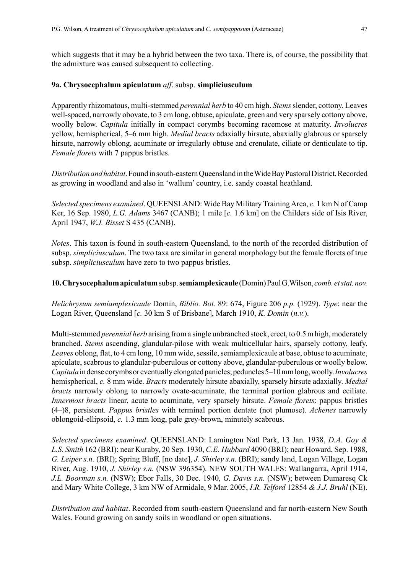which suggests that it may be a hybrid between the two taxa. There is, of course, the possibility that the admixture was caused subsequent to collecting.

### **9a. Chrysocephalum apiculatum** *aff*. subsp. **simpliciusculum**

Apparently rhizomatous, multi-stemmed *perennial herb* to 40 cm high. *Stems* slender, cottony. Leaves well-spaced, narrowly obovate, to 3 cm long, obtuse, apiculate, green and very sparsely cottony above, woolly below. *Capitula* initially in compact corymbs becoming racemose at maturity. *Involucres* yellow, hemispherical, 5–6 mm high. *Medial bracts* adaxially hirsute, abaxially glabrous or sparsely hirsute, narrowly oblong, acuminate or irregularly obtuse and crenulate, ciliate or denticulate to tip. *Female florets* with 7 pappus bristles.

*Distribution and habitat*. Found in south-eastern Queensland in the Wide Bay Pastoral District. Recorded as growing in woodland and also in 'wallum' country, i.e. sandy coastal heathland.

*Selected specimens examined*. QUEENSLAND: Wide Bay Military Training Area, *c.* 1 km N of Camp Ker, 16 Sep. 1980, *L.G. Adams* 3467 (CANB); 1 mile [*c.* 1.6 km] on the Childers side of Isis River, April 1947, *W.J. Bisset* S 435 (CANB).

*Notes*. This taxon is found in south-eastern Queensland, to the north of the recorded distribution of subsp. *simpliciusculum*. The two taxa are similar in general morphology but the female florets of true subsp. *simpliciusculum* have zero to two pappus bristles.

### **10. Chrysocephalum apiculatum** subsp. **semiamplexicaule** (Domin) Paul G.Wilson, *comb. et stat. nov.*

*Helichrysum semiamplexicaule* Domin, *Biblio. Bot.* 89: 674, Figure 206 *p.p.* (1929). *Type*: near the Logan River, Queensland [*c.* 30 km S of Brisbane], March 1910, *K. Domin* (*n.v.*).

Multi-stemmed *perennial herb* arising from a single unbranched stock, erect, to 0.5 m high, moderately branched. *Stems* ascending, glandular-pilose with weak multicellular hairs, sparsely cottony, leafy. *Leaves* oblong, flat, to 4 cm long, 10 mm wide, sessile, semiamplexicaule at base, obtuse to acuminate, apiculate, scabrous to glandular-puberulous or cottony above, glandular-puberulous or woolly below. *Capitula* in dense corymbs or eventually elongated panicles; peduncles 5–10 mm long, woolly. *Involucres* hemispherical, *c.* 8 mm wide. *Bracts* moderately hirsute abaxially, sparsely hirsute adaxially. *Medial bracts* narrowly oblong to narrowly ovate-acuminate, the terminal portion glabrous and eciliate. *Innermost bracts* linear, acute to acuminate, very sparsely hirsute. *Female florets*: pappus bristles (4–)8, persistent. *Pappus bristles* with terminal portion dentate (not plumose). *Achenes* narrowly oblongoid-ellipsoid, *c.* 1.3 mm long, pale grey-brown, minutely scabrous.

*Selected specimens examined*. QUEENSLAND: Lamington Natl Park, 13 Jan. 1938, *D.A. Goy & L.S. Smith* 162 (BRI); near Kuraby, 20 Sep. 1930, *C.E. Hubbard* 4090 (BRI); near Howard, Sep. 1988, *G. Leiper s.n.* (BRI); Spring Bluff, [no date], *J. Shirley s.n.* (BRI); sandy land, Logan Village, Logan River, Aug. 1910, *J. Shirley s.n.* (NSW 396354). NEW SOUTH WALES: Wallangarra, April 1914, *J.L. Boorman s.n.* (NSW); Ebor Falls, 30 Dec. 1940, *G. Davis s.n.* (NSW); between Dumaresq Ck and Mary White College, 3 km NW of Armidale, 9 Mar. 2005, *I.R. Telford* 12854 *& J.J. Bruhl* (NE).

*Distribution and habitat*. Recorded from south-eastern Queensland and far north-eastern New South Wales. Found growing on sandy soils in woodland or open situations.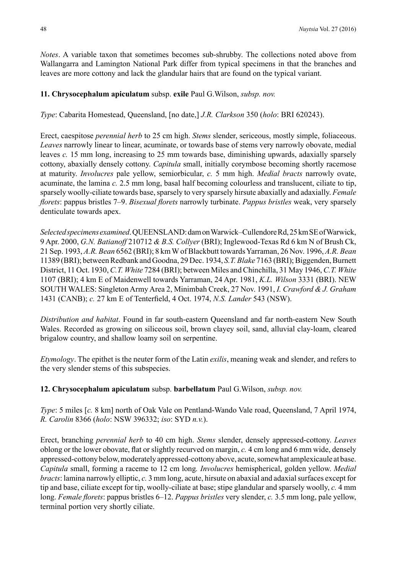*Notes*. A variable taxon that sometimes becomes sub-shrubby. The collections noted above from Wallangarra and Lamington National Park differ from typical specimens in that the branches and leaves are more cottony and lack the glandular hairs that are found on the typical variant.

## **11. Chrysocephalum apiculatum** subsp. **exile** Paul G.Wilson, *subsp. nov.*

*Type*: Cabarita Homestead, Queensland, [no date,] *J.R. Clarkson* 350 (*holo*: BRI 620243).

Erect, caespitose *perennial herb* to 25 cm high. *Stems* slender, sericeous, mostly simple, foliaceous. *Leaves* narrowly linear to linear, acuminate, or towards base of stems very narrowly obovate, medial leaves *c.* 15 mm long, increasing to 25 mm towards base, diminishing upwards, adaxially sparsely cottony, abaxially densely cottony. *Capitula* small, initially corymbose becoming shortly racemose at maturity. *Involucres* pale yellow, semiorbicular, *c.* 5 mm high. *Medial bracts* narrowly ovate, acuminate, the lamina *c.* 2.5 mm long, basal half becoming colourless and translucent, ciliate to tip, sparsely woolly-ciliate towards base, sparsely to very sparsely hirsute abaxially and adaxially. *Female florets*: pappus bristles 7–9. *Bisexual florets* narrowly turbinate. *Pappus bristles* weak, very sparsely denticulate towards apex.

*Selected specimens examined*. QUEENSLAND: dam on Warwick–Cullendore Rd, 25 km SE of Warwick, 9 Apr. 2000, *G.N. Batianoff* 210712 *& B.S. Collyer* (BRI); Inglewood-Texas Rd 6 km N of Brush Ck, 21 Sep. 1993, *A.R. Bean* 6562 (BRI); 8 km W of Blackbutt towards Yarraman, 26 Nov. 1996, *A.R. Bean* 11389 (BRI); between Redbank and Goodna, 29 Dec. 1934, *S.T. Blake* 7163 (BRI); Biggenden, Burnett District, 11 Oct. 1930, *C.T. White* 7284 (BRI); between Miles and Chinchilla, 31 May 1946, *C.T. White* 1107 (BRI); 4 km E of Maidenwell towards Yarraman, 24 Apr. 1981, *K.L. Wilson* 3331 (BRI). NEW SOUTH WALES: Singleton Army Area 2, Minimbah Creek, 27 Nov. 1991, *I. Crawford & J. Graham* 1431 (CANB); *c.* 27 km E of Tenterfield, 4 Oct. 1974, *N.S. Lander* 543 (NSW).

*Distribution and habitat*. Found in far south-eastern Queensland and far north-eastern New South Wales. Recorded as growing on siliceous soil, brown clayey soil, sand, alluvial clay-loam, cleared brigalow country, and shallow loamy soil on serpentine.

*Etymology*. The epithet is the neuter form of the Latin *exilis*, meaning weak and slender, and refers to the very slender stems of this subspecies.

**12. Chrysocephalum apiculatum** subsp. **barbellatum** Paul G.Wilson, *subsp. nov.*

*Type*: 5 miles [*c.* 8 km] north of Oak Vale on Pentland-Wando Vale road, Queensland, 7 April 1974, *R. Carolin* 8366 (*holo*: NSW 396332; *iso*: SYD *n.v.*).

Erect, branching *perennial herb* to 40 cm high. *Stems* slender, densely appressed-cottony. *Leaves* oblong or the lower obovate, flat or slightly recurved on margin, *c.* 4 cm long and 6 mm wide, densely appressed-cottony below, moderately appressed-cottony above, acute, somewhat amplexicaule at base. *Capitula* small, forming a raceme to 12 cm long*. Involucres* hemispherical, golden yellow. *Medial bracts*: lamina narrowly elliptic, *c.* 3 mm long, acute, hirsute on abaxial and adaxial surfaces except for tip and base, ciliate except for tip, woolly-ciliate at base; stipe glandular and sparsely woolly, *c.* 4 mm long. *Female florets*: pappus bristles 6–12. *Pappus bristles* very slender, *c.* 3.5 mm long, pale yellow, terminal portion very shortly ciliate.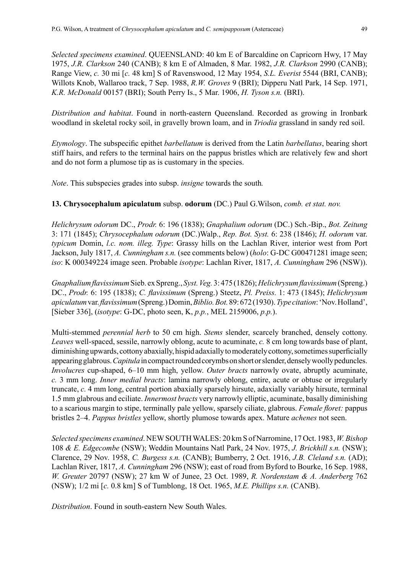*Selected specimens examined*. QUEENSLAND: 40 km E of Barcaldine on Capricorn Hwy, 17 May 1975, *J.R. Clarkson* 240 (CANB); 8 km E of Almaden, 8 Mar. 1982, *J.R. Clarkson* 2990 (CANB); Range View, *c.* 30 mi [*c.* 48 km] S of Ravenswood, 12 May 1954, *S.L. Everist* 5544 (BRI, CANB); Willots Knob, Wallaroo track, 7 Sep. 1988, *R.W. Groves* 9 (BRI); Dipperu Natl Park, 14 Sep. 1971, *K.R. McDonald* 00157 (BRI); South Perry Is., 5 Mar. 1906, *H. Tyson s.n.* (BRI).

*Distribution and habitat*. Found in north-eastern Queensland. Recorded as growing in Ironbark woodland in skeletal rocky soil, in gravelly brown loam, and in *Triodia* grassland in sandy red soil.

*Etymology*. The subspecific epithet *barbellatum* is derived from the Latin *barbellatus*, bearing short stiff hairs, and refers to the terminal hairs on the pappus bristles which are relatively few and short and do not form a plumose tip as is customary in the species.

*Note*. This subspecies grades into subsp. *insigne* towards the south*.*

**13. Chrysocephalum apiculatum** subsp. **odorum** (DC.) Paul G.Wilson, *comb. et stat. nov.*

*Helichrysum odorum* DC., *Prodr.* 6: 196 (1838); *Gnaphalium odorum* (DC.) Sch.-Bip., *Bot. Zeitung*  3: 171 (1845); *Chrysocephalum odorum* (DC.)Walp., *Rep. Bot. Syst.* 6: 238 (1846); *H. odorum* var. *typicum* Domin, *l.c. nom. illeg. Type*: Grassy hills on the Lachlan River, interior west from Port Jackson, July 1817, *A. Cunningham s.n.* (see comments below) (*holo*: G-DC G00471281 image seen; *iso*: K 000349224 image seen. Probable *isotype*: Lachlan River, 1817, *A. Cunningham* 296 (NSW)).

*Gnaphalium flavissimum* Sieb. ex Spreng., *Syst. Veg.* 3: 475 (1826); *Helichrysum flavissimum* (Spreng.) DC., *Prodr.* 6: 195 (1838); *C. flavissimum* (Spreng.) Steetz, *Pl. Preiss.* 1: 473 (1845); *Helichrysum apiculatum* var. *flavissimum* (Spreng.) Domin, *Biblio. Bot.* 89: 672 (1930). *Type citation*: 'Nov. Holland', [Sieber 336], (*isotype*: G-DC, photo seen, K, *p.p.*, MEL 2159006, *p.p.*).

Multi-stemmed *perennial herb* to 50 cm high. *Stems* slender, scarcely branched, densely cottony. *Leaves* well-spaced, sessile, narrowly oblong, acute to acuminate, *c.* 8 cm long towards base of plant, diminishing upwards, cottony abaxially, hispid adaxially to moderately cottony, sometimes superficially appearing glabrous. *Capitula* in compact rounded corymbs on short or slender, densely woolly peduncles. *Involucres* cup-shaped, 6–10 mm high, yellow. *Outer bracts* narrowly ovate, abruptly acuminate, *c.* 3 mm long. *Inner medial bracts*: lamina narrowly oblong, entire, acute or obtuse or irregularly truncate, *c.* 4 mm long, central portion abaxially sparsely hirsute, adaxially variably hirsute, terminal 1.5 mm glabrous and eciliate. *Innermost bracts* very narrowly elliptic, acuminate, basally diminishing to a scarious margin to stipe, terminally pale yellow, sparsely ciliate, glabrous. *Female floret:* pappus bristles 2–4. *Pappus bristles* yellow, shortly plumose towards apex. Mature *achenes* not seen.

*Selected specimens examined*. NEW SOUTH WALES: 20 km S of Narromine, 17 Oct. 1983, *W. Bishop* 108 *& E. Edgecombe* (NSW); Weddin Mountains Natl Park, 24 Nov. 1975, *J. Brickhill s.n.* (NSW); Clarence, 29 Nov. 1958, *C. Burgess s.n.* (CANB); Bumberry, 2 Oct. 1916, *J.B. Cleland s.n.* (AD); Lachlan River, 1817, *A. Cunningham* 296 (NSW); east of road from Byford to Bourke, 16 Sep. 1988, *W. Greuter* 20797 (NSW); 27 km W of Junee, 23 Oct. 1989, *R. Nordenstam & A. Anderberg* 762 (NSW); 1/2 mi [*c.* 0.8 km] S of Tumblong, 18 Oct. 1965, *M.E. Phillips s.n.* (CANB).

*Distribution*. Found in south-eastern New South Wales.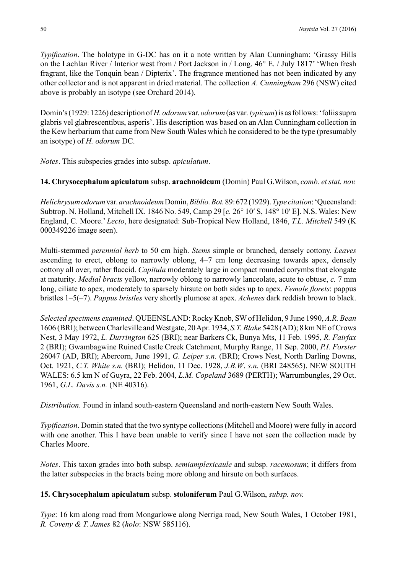*Typification*. The holotype in G-DC has on it a note written by Alan Cunningham: 'Grassy Hills on the Lachlan River / Interior west from / Port Jackson in / Long. 46° E. / July 1817' 'When fresh fragrant, like the Tonquin bean / Dipterix'. The fragrance mentioned has not been indicated by any other collector and is not apparent in dried material. The collection *A. Cunningham* 296 (NSW) cited above is probably an isotype (see Orchard 2014).

Domin's (1929: 1226) description of *H. odorum* var. *odorum* (as var*. typicum*) is as follows: 'foliis supra glabris vel glabrescentibus, asperis'. His description was based on an Alan Cunningham collection in the Kew herbarium that came from New South Wales which he considered to be the type (presumably an isotype) of *H. odorum* DC.

*Notes*. This subspecies grades into subsp. *apiculatum*.

## **14. Chrysocephalum apiculatum** subsp. **arachnoideum** (Domin) Paul G.Wilson, *comb. et stat. nov.*

*Helichrysum odorum* var. *arachnoideum* Domin, *Biblio. Bot.* 89: 672 (1929). *Type citation*: 'Queensland: Subtrop. N. Holland, Mitchell IX. 1846 No. 549, Camp 29 [*c.* 26° 10′ S, 148° 10′ E]. N.S. Wales: New England, C. Moore.' *Lecto*, here designated: Sub-Tropical New Holland, 1846, *T.L. Mitchell* 549 (K 000349226 image seen).

Multi-stemmed *perennial herb* to 50 cm high. *Stems* simple or branched, densely cottony. *Leaves*  ascending to erect, oblong to narrowly oblong, 4–7 cm long decreasing towards apex, densely cottony all over, rather flaccid. *Capitula* moderately large in compact rounded corymbs that elongate at maturity. *Medial bracts* yellow, narrowly oblong to narrowly lanceolate, acute to obtuse, *c.* 7 mm long, ciliate to apex, moderately to sparsely hirsute on both sides up to apex. *Female florets*: pappus bristles 1–5(–7). *Pappus bristles* very shortly plumose at apex. *Achenes* dark reddish brown to black.

*Selected specimens examined*. QUEENSLAND: Rocky Knob, SW of Helidon, 9 June 1990, *A.R. Bean* 1606 (BRI); between Charleville and Westgate, 20 Apr. 1934, *S.T. Blake* 5428 (AD); 8 km NE of Crows Nest, 3 May 1972, *L. Durrington* 625 (BRI); near Barkers Ck, Bunya Mts, 11 Feb. 1995, *R. Fairfax* 2 (BRI); Gwambagwine Ruined Castle Creek Catchment, Murphy Range, 11 Sep. 2000, *P.I. Forster* 26047 (AD, BRI); Abercorn, June 1991, *G. Leiper s.n.* (BRI); Crows Nest, North Darling Downs, Oct. 1921, *C.T. White s.n.* (BRI); Helidon, 11 Dec. 1928, *J.B.W*. *s.n.* (BRI 248565). NEW SOUTH WALES: 6.5 km N of Guyra, 22 Feb. 2004, *L.M. Copeland* 3689 (PERTH); Warrumbungles, 29 Oct. 1961, *G.L. Davis s.n.* (NE 40316).

*Distribution*. Found in inland south-eastern Queensland and north-eastern New South Wales.

*Typification*. Domin stated that the two syntype collections (Mitchell and Moore) were fully in accord with one another. This I have been unable to verify since I have not seen the collection made by Charles Moore.

*Notes*. This taxon grades into both subsp. *semiamplexicaule* and subsp. *racemosum*; it differs from the latter subspecies in the bracts being more oblong and hirsute on both surfaces.

# **15. Chrysocephalum apiculatum** subsp. **stoloniferum** Paul G.Wilson, *subsp. nov.*

*Type*: 16 km along road from Mongarlowe along Nerriga road, New South Wales, 1 October 1981, *R. Coveny & T. James* 82 (*holo*: NSW 585116).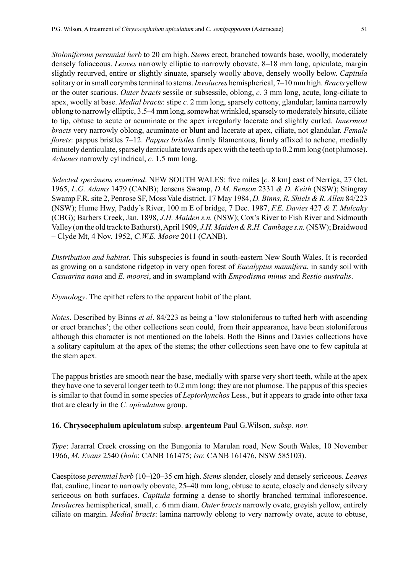*Stoloniferous perennial herb* to 20 cm high. *Stems* erect, branched towards base, woolly, moderately densely foliaceous. *Leaves* narrowly elliptic to narrowly obovate, 8–18 mm long, apiculate, margin slightly recurved, entire or slightly sinuate, sparsely woolly above, densely woolly below. *Capitula*  solitary or in small corymbs terminal to stems. *Involucres* hemispherical, 7–10 mm high. *Bracts* yellow or the outer scarious. *Outer bracts* sessile or subsessile, oblong, *c.* 3 mm long, acute, long-ciliate to apex, woolly at base. *Medial bracts*: stipe *c.* 2 mm long, sparsely cottony, glandular; lamina narrowly oblong to narrowly elliptic, 3.5–4 mm long, somewhat wrinkled, sparsely to moderately hirsute, ciliate to tip, obtuse to acute or acuminate or the apex irregularly lacerate and slightly curled. *Innermost bracts* very narrowly oblong, acuminate or blunt and lacerate at apex, ciliate, not glandular. *Female florets*: pappus bristles 7–12. *Pappus bristles* firmly filamentous, firmly affixed to achene, medially minutely denticulate, sparsely denticulate towards apex with the teeth up to 0.2 mm long (not plumose). *Achenes* narrowly cylindrical, *c.* 1.5 mm long.

*Selected specimens examined*. NEW SOUTH WALES: five miles [*c.* 8 km] east of Nerriga, 27 Oct. 1965, *L.G. Adams* 1479 (CANB); Jensens Swamp, *D.M. Benson* 2331 *& D. Keith* (NSW); Stingray Swamp F.R. site 2, Penrose SF, Moss Vale district, 17 May 1984, *D. Binns, R. Shiels & R. Allen* 84/223 (NSW); Hume Hwy, Paddy's River, 100 m E of bridge, 7 Dec. 1987, *F.E. Davies* 427 *& T. Mulcahy* (CBG); Barbers Creek, Jan. 1898, *J.H. Maiden s.n.* (NSW); Cox's River to Fish River and Sidmouth Valley (on the old track to Bathurst), April 1909, *J.H. Maiden & R.H. Cambage s.n.* (NSW); Braidwood – Clyde Mt, 4 Nov. 1952, *C.W.E. Moore* 2011 (CANB).

*Distribution and habitat*. This subspecies is found in south-eastern New South Wales. It is recorded as growing on a sandstone ridgetop in very open forest of *Eucalyptus mannifera*, in sandy soil with *Casuarina nana* and *E. moorei*, and in swampland with *Empodisma minus* and *Restio australis*.

*Etymology*. The epithet refers to the apparent habit of the plant.

*Notes*. Described by Binns *et al*. 84/223 as being a 'low stoloniferous to tufted herb with ascending or erect branches'; the other collections seen could, from their appearance, have been stoloniferous although this character is not mentioned on the labels. Both the Binns and Davies collections have a solitary capitulum at the apex of the stems; the other collections seen have one to few capitula at the stem apex.

The pappus bristles are smooth near the base, medially with sparse very short teeth, while at the apex they have one to several longer teeth to 0.2 mm long; they are not plumose. The pappus of this species is similar to that found in some species of *Leptorhynchos* Less., but it appears to grade into other taxa that are clearly in the *C. apiculatum* group.

# **16. Chrysocephalum apiculatum** subsp. **argenteum** Paul G.Wilson, *subsp. nov.*

*Type*: Jararral Creek crossing on the Bungonia to Marulan road, New South Wales, 10 November 1966, *M. Evans* 2540 (*holo*: CANB 161475; *iso*: CANB 161476, NSW 585103).

Caespitose *perennial herb* (10–)20–35 cm high. *Stems* slender, closely and densely sericeous. *Leaves* flat, cauline, linear to narrowly obovate, 25–40 mm long, obtuse to acute, closely and densely silvery sericeous on both surfaces. *Capitula* forming a dense to shortly branched terminal inflorescence. *Involucres* hemispherical, small, *c.* 6 mm diam. *Outer bracts* narrowly ovate, greyish yellow, entirely ciliate on margin. *Medial bracts*: lamina narrowly oblong to very narrowly ovate, acute to obtuse,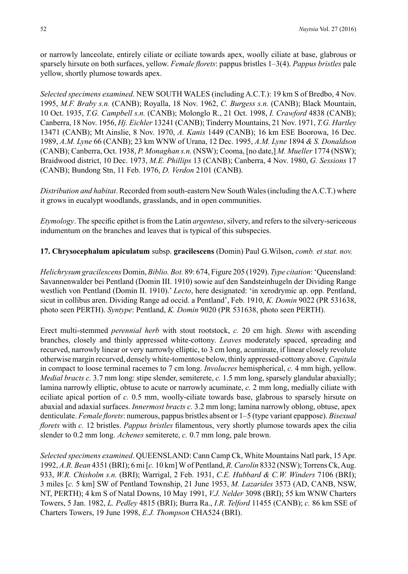or narrowly lanceolate, entirely ciliate or eciliate towards apex, woolly ciliate at base, glabrous or sparsely hirsute on both surfaces, yellow. *Female florets*: pappus bristles 1–3(4). *Pappus bristles* pale yellow, shortly plumose towards apex.

*Selected specimens examined*. NEW SOUTH WALES (including A.C.T.): 19 km S of Bredbo, 4 Nov. 1995, *M.F. Braby s.n.* (CANB); Royalla, 18 Nov. 1962, *C. Burgess s.n.* (CANB); Black Mountain, 10 Oct. 1935, *T.G. Campbell s.n.* (CANB); Molonglo R., 21 Oct. 1998, *I. Crawford* 4838 (CANB); Canberra, 18 Nov. 1956, *Hj. Eichler* 13241 (CANB); Tinderry Mountains, 21 Nov. 1971, *T.G. Hartley* 13471 (CANB); Mt Ainslie, 8 Nov. 1970, *A. Kanis* 1449 (CANB); 16 km ESE Boorowa, 16 Dec. 1989, *A.M. Lyne* 66 (CANB); 23 km WNW of Urana, 12 Dec. 1995, *A.M. Lyne* 1894 *& S. Donaldson* (CANB); Canberra, Oct. 1938, *P. Monaghan s.n.* (NSW); Cooma, [no date,] *M. Mueller* 1774 (NSW); Braidwood district, 10 Dec. 1973, *M.E. Phillips* 13 (CANB); Canberra, 4 Nov. 1980, *G. Sessions* 17 (CANB); Bundong Stn, 11 Feb. 1976, *D. Verdon* 2101 (CANB).

*Distribution and habitat*. Recorded from south-eastern New South Wales (including the A.C.T.) where it grows in eucalypt woodlands, grasslands, and in open communities.

*Etymology*. The specific epithet is from the Latin *argenteus*, silvery, and refers to the silvery-sericeous indumentum on the branches and leaves that is typical of this subspecies.

#### **17. Chrysocephalum apiculatum** subsp. **gracilescens** (Domin) Paul G.Wilson, *comb. et stat. nov.*

*Helichrysum gracilescens* Domin, *Biblio. Bot.* 89: 674, Figure 205 (1929). *Type citation*: 'Queensland: Savannenwalder bei Pentland (Domin III. 1910) sowie auf den Sandsteinhugeln der Dividing Range westlich von Pentland (Domin II. 1910).' *Lecto*, here designated: 'in xerodrymic ap. opp. Pentland, sicut in collibus aren. Dividing Range ad occid. a Pentland', Feb. 1910, *K. Domin* 9022 (PR 531638, photo seen PERTH). *Syntype*: Pentland, *K. Domin* 9020 (PR 531638, photo seen PERTH).

Erect multi-stemmed *perennial herb* with stout rootstock, *c.* 20 cm high. *Stems* with ascending branches, closely and thinly appressed white-cottony. *Leaves* moderately spaced, spreading and recurved, narrowly linear or very narrowly elliptic, to 3 cm long, acuminate, if linear closely revolute otherwise margin recurved, densely white-tomentose below, thinly appressed-cottony above. *Capitula* in compact to loose terminal racemes to 7 cm long. *Involucres* hemispherical, *c.* 4 mm high, yellow. *Medial bracts c.* 3.7 mm long: stipe slender, semiterete, *c.* 1.5 mm long, sparsely glandular abaxially; lamina narrowly elliptic, obtuse to acute or narrowly acuminate, *c.* 2 mm long, medially ciliate with eciliate apical portion of *c.* 0.5 mm, woolly-ciliate towards base, glabrous to sparsely hirsute on abaxial and adaxial surfaces. *Innermost bracts c.* 3.2 mm long; lamina narrowly oblong, obtuse, apex denticulate. *Female florets*: numerous, pappus bristles absent or 1–5 (type variant epappose). *Bisexual florets* with *c.* 12 bristles. *Pappus bristles* filamentous, very shortly plumose towards apex the cilia slender to 0.2 mm long. *Achenes* semiterete, *c.* 0.7 mm long, pale brown.

*Selected specimens examined*. QUEENSLAND: Cann Camp Ck, White Mountains Natl park, 15Apr. 1992, *A.R. Bean* 4351 (BRI); 6 mi [*c.* 10 km] W of Pentland, *R. Carolin* 8332 (NSW); Torrens Ck, Aug. 933, *W.R. Chisholm s.n.* (BRI); Warrigal, 2 Feb. 1931, *C.E. Hubbard & C.W. Winders* 7106 (BRI); 3 miles [*c.* 5 km] SW of Pentland Township, 21 June 1953, *M. Lazarides* 3573 (AD, CANB, NSW, NT, PERTH); 4 km S of Natal Downs, 10 May 1991, *V.J. Nelder* 3098 (BRI); 55 km WNW Charters Towers, 5 Jan. 1982, *L. Pedley* 4815 (BRI); Burra Ra., *I.R. Telford* 11455 (CANB); *c.* 86 km SSE of Charters Towers, 19 June 1998, *E.J. Thompson* CHA524 (BRI).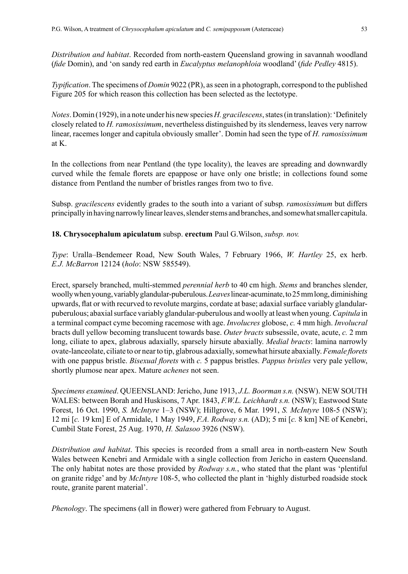*Distribution and habitat*. Recorded from north-eastern Queensland growing in savannah woodland (*fide* Domin), and 'on sandy red earth in *Eucalyptus melanophloia* woodland' (*fide Pedley* 4815).

*Typification*. The specimens of *Domin* 9022 (PR), as seen in a photograph, correspond to the published Figure 205 for which reason this collection has been selected as the lectotype.

*Notes*. Domin (1929), in a note under his new species *H. gracilescens*, states (in translation): 'Definitely closely related to *H. ramosissimum*, nevertheless distinguished by its slenderness, leaves very narrow linear, racemes longer and capitula obviously smaller'. Domin had seen the type of *H. ramosissimum*  at K.

In the collections from near Pentland (the type locality), the leaves are spreading and downwardly curved while the female florets are epappose or have only one bristle; in collections found some distance from Pentland the number of bristles ranges from two to five.

Subsp. *gracilescens* evidently grades to the south into a variant of subsp*. ramosissimum* but differs principally in having narrowly linear leaves, slender stems and branches, and somewhat smaller capitula.

**18. Chrysocephalum apiculatum** subsp. **erectum** Paul G.Wilson, *subsp. nov.*

*Type*: Uralla–Bendemeer Road, New South Wales, 7 February 1966, *W. Hartley* 25, ex herb. *E.J. McBarron* 12124 (*holo*: NSW 585549).

Erect, sparsely branched, multi-stemmed *perennial herb* to 40 cm high. *Stems* and branches slender, woolly when young, variably glandular-puberulous. *Leaves* linear-acuminate, to 25 mm long, diminishing upwards, flat or with recurved to revolute margins, cordate at base; adaxial surface variably glandularpuberulous; abaxial surface variably glandular-puberulous and woolly at least when young. *Capitula* in a terminal compact cyme becoming racemose with age. *Involucres* globose, *c.* 4 mm high. *Involucral* bracts dull yellow becoming translucent towards base. *Outer bracts* subsessile, ovate, acute, *c.* 2 mm long, ciliate to apex, glabrous adaxially, sparsely hirsute abaxially. *Medial bracts*: lamina narrowly ovate-lanceolate, ciliate to or near to tip, glabrous adaxially, somewhat hirsute abaxially. *Female florets* with one pappus bristle. *Bisexual florets* with *c.* 5 pappus bristles. *Pappus bristles* very pale yellow, shortly plumose near apex. Mature *achenes* not seen.

*Specimens examined*. QUEENSLAND: Jericho, June 1913, *J.L. Boorman s.n.* (NSW). NEW SOUTH WALES: between Borah and Huskisons, 7 Apr. 1843, *F.W.L. Leichhardt s.n.* (NSW); Eastwood State Forest, 16 Oct. 1990, *S. McIntyre* 1–3 (NSW); Hillgrove, 6 Mar. 1991, *S. McIntyre* 108-5 (NSW); 12 mi [*c.* 19 km] E of Armidale, 1 May 1949, *F.A. Rodway s.n.* (AD); 5 mi [*c.* 8 km] NE of Kenebri, Cumbil State Forest, 25 Aug. 1970, *H. Salasoo* 3926 (NSW).

*Distribution and habitat*. This species is recorded from a small area in north-eastern New South Wales between Kenebri and Armidale with a single collection from Jericho in eastern Queensland. The only habitat notes are those provided by *Rodway s.n.*, who stated that the plant was 'plentiful on granite ridge' and by *McIntyre* 108-5, who collected the plant in 'highly disturbed roadside stock route, granite parent material'.

*Phenology*. The specimens (all in flower) were gathered from February to August.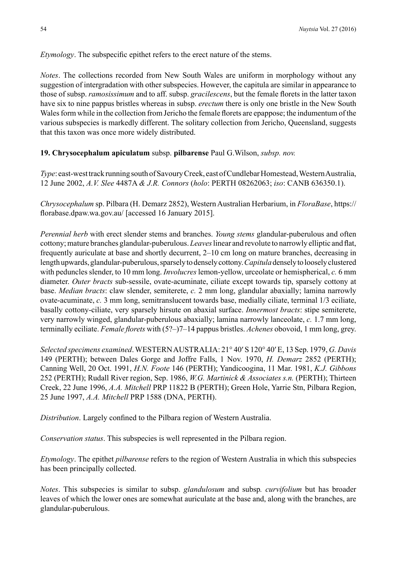*Etymology*. The subspecific epithet refers to the erect nature of the stems.

*Notes*. The collections recorded from New South Wales are uniform in morphology without any suggestion of intergradation with other subspecies. However, the capitula are similar in appearance to those of subsp. *ramosissimum* and to aff. subsp. *gracilescens*, but the female florets in the latter taxon have six to nine pappus bristles whereas in subsp. *erectum* there is only one bristle in the New South Wales form while in the collection from Jericho the female florets are epappose; the indumentum of the various subspecies is markedly different. The solitary collection from Jericho, Queensland, suggests that this taxon was once more widely distributed.

**19. Chrysocephalum apiculatum** subsp. **pilbarense** Paul G.Wilson, *subsp. nov.*

*Type*: east-west track running south of Savoury Creek, east of Cundlebar Homestead, Western Australia, 12 June 2002, *A.V. Slee* 4487A *& J.R. Connors* (*holo*: PERTH 08262063; *iso*: CANB 636350.1).

*Chrysocephalum* sp. Pilbara (H. Demarz 2852), Western Australian Herbarium, in *FloraBase*, https:// florabase.dpaw.wa.gov.au/ [accessed 16 January 2015].

*Perennial herb* with erect slender stems and branches. *Young stems* glandular-puberulous and often cottony; mature branches glandular-puberulous. *Leaves* linear and revolute to narrowly elliptic and flat, frequently auriculate at base and shortly decurrent, 2–10 cm long on mature branches, decreasing in length upwards, glandular-puberulous, sparsely to densely cottony. *Capitula* densely to loosely clustered with peduncles slender, to 10 mm long. *Involucres* lemon-yellow, urceolate or hemispherical, *c.* 6 mm diameter. *Outer bracts* sub-sessile, ovate-acuminate, ciliate except towards tip, sparsely cottony at base. *Median bracts*: claw slender, semiterete, *c.* 2 mm long, glandular abaxially; lamina narrowly ovate-acuminate, *c.* 3 mm long, semitranslucent towards base, medially ciliate, terminal 1/3 eciliate, basally cottony-ciliate, very sparsely hirsute on abaxial surface. *Innermost bracts*: stipe semiterete, very narrowly winged, glandular-puberulous abaxially; lamina narrowly lanceolate, *c.* 1.7 mm long, terminally eciliate. *Female florets* with (5?–)7–14 pappus bristles. *Achenes* obovoid, 1 mm long, grey.

*Selected specimens examined*. WESTERN AUSTRALIA: 21° 40′ S 120° 40′ E, 13 Sep. 1979, *G. Davis* 149 (PERTH); between Dales Gorge and Joffre Falls, 1 Nov. 1970, *H. Demarz* 2852 (PERTH); Canning Well, 20 Oct. 1991, *H.N. Foote* 146 (PERTH); Yandicoogina, 11 Mar. 1981, *K.J. Gibbons*  252 (PERTH); Rudall River region, Sep. 1986, *W.G. Martinick & Associates s.n.* (PERTH); Thirteen Creek, 22 June 1996, *A.A. Mitchell* PRP 11822 B (PERTH); Green Hole, Yarrie Stn, Pilbara Region, 25 June 1997, *A.A. Mitchell* PRP 1588 (DNA, PERTH).

*Distribution*. Largely confined to the Pilbara region of Western Australia.

*Conservation status*. This subspecies is well represented in the Pilbara region.

*Etymology*. The epithet *pilbarense* refers to the region of Western Australia in which this subspecies has been principally collected.

*Notes*. This subspecies is similar to subsp. *glandulosum* and subsp*. curvifolium* but has broader leaves of which the lower ones are somewhat auriculate at the base and, along with the branches, are glandular-puberulous.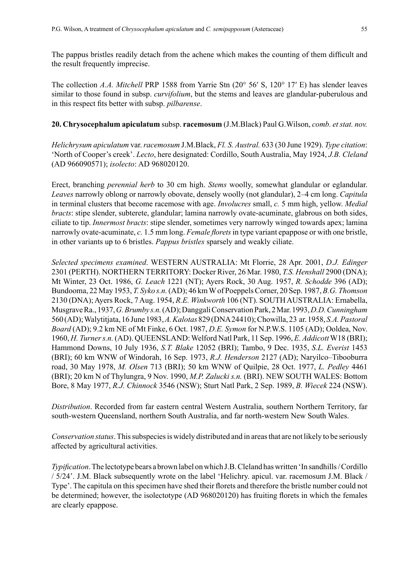The pappus bristles readily detach from the achene which makes the counting of them difficult and the result frequently imprecise.

The collection *A.A. Mitchell* PRP 1588 from Yarrie Stn (20° 56′ S, 120° 17′ E) has slender leaves similar to those found in subsp. *curvifolium*, but the stems and leaves are glandular-puberulous and in this respect fits better with subsp. *pilbarense*.

## **20. Chrysocephalum apiculatum** subsp. **racemosum** (J.M.Black) Paul G.Wilson, *comb. et stat. nov.*

*Helichrysum apiculatum* var. *racemosum* J.M.Black, *Fl. S. Austral.* 633 (30 June 1929). *Type citation*: 'North of Cooper's creek'. *Lecto*, here designated: Cordillo, South Australia, May 1924, *J.B. Cleland* (AD 966090571); *isolecto*: AD 968020120.

Erect, branching *perennial herb* to 30 cm high. *Stems* woolly, somewhat glandular or eglandular. *Leaves* narrowly oblong or narrowly obovate, densely woolly (not glandular), 2–4 cm long. *Capitula* in terminal clusters that become racemose with age. *Involucres* small, *c.* 5 mm high, yellow. *Medial bracts*: stipe slender, subterete, glandular; lamina narrowly ovate-acuminate, glabrous on both sides, ciliate to tip. *Innermost bracts*: stipe slender, sometimes very narrowly winged towards apex; lamina narrowly ovate-acuminate, *c.* 1.5 mm long. *Female florets* in type variant epappose or with one bristle, in other variants up to 6 bristles. *Pappus bristles* sparsely and weakly ciliate.

*Selected specimens examined*. WESTERN AUSTRALIA: Mt Florrie, 28 Apr. 2001, *D.J. Edinger* 2301 (PERTH). NORTHERN TERRITORY: Docker River, 26 Mar. 1980, *T.S. Henshall* 2900 (DNA); Mt Winter, 23 Oct. 1986, *G. Leach* 1221 (NT); Ayers Rock, 30 Aug. 1957, *R. Schodde* 396 (AD); Bundooma, 22 May 1953, *T. Syko s.n.* (AD); 46 km W of Poeppels Corner, 20 Sep. 1987, *B.G. Thomson* 2130 (DNA); Ayers Rock, 7 Aug. 1954, *R.E. Winkworth* 106 (NT). SOUTH AUSTRALIA: Ernabella, Musgrave Ra., 1937, *G. Brumby s.n.* (AD); Danggali Conservation Park, 2 Mar. 1993, *D.D. Cunningham* 560 (AD); Walytitjata, 16 June 1983, *A. Kalotas* 829 (DNA 24410); Chowilla, 23 ar. 1958, *S.A. Pastoral Board* (AD); 9.2 km NE of Mt Finke, 6 Oct. 1987, *D.E. Symon* for N.P.W.S. 1105 (AD); Ooldea, Nov. 1960, *H. Turner s.n.* (AD). QUEENSLAND: Welford Natl Park, 11 Sep. 1996, *E. Addicott* W18 (BRI); Hammond Downs, 10 July 1936, *S.T. Blake* 12052 (BRI); Tambo, 9 Dec. 1935, *S.L. Everist* 1453 (BRI); 60 km WNW of Windorah, 16 Sep. 1973, *R.J. Henderson* 2127 (AD); Naryilco–Tibooburra road, 30 May 1978, *M. Olsen* 713 (BRI); 50 km WNW of Quilpie, 28 Oct. 1977, *L. Pedley* 4461 (BRI); 20 km N of Thylungra, 9 Nov. 1990, *M.P. Zalucki s.n.* (BRI). NEW SOUTH WALES: Bottom Bore, 8 May 1977, *R.J. Chinnock* 3546 (NSW); Sturt Natl Park, 2 Sep. 1989, *B. Wiecek* 224 (NSW).

*Distribution*. Recorded from far eastern central Western Australia, southern Northern Territory, far south-western Queensland, northern South Australia, and far north-western New South Wales.

*Conservation status*. This subspecies is widely distributed and in areas that are not likely to be seriously affected by agricultural activities.

*Typification*. The lectotype bears a brown label on which J.B. Cleland has written 'In sandhills / Cordillo / 5/24'. J.M. Black subsequently wrote on the label 'Helichry. apicul. var. racemosum J.M. Black / Type'. The capitula on this specimen have shed their florets and therefore the bristle number could not be determined; however, the isolectotype (AD 968020120) has fruiting florets in which the females are clearly epappose.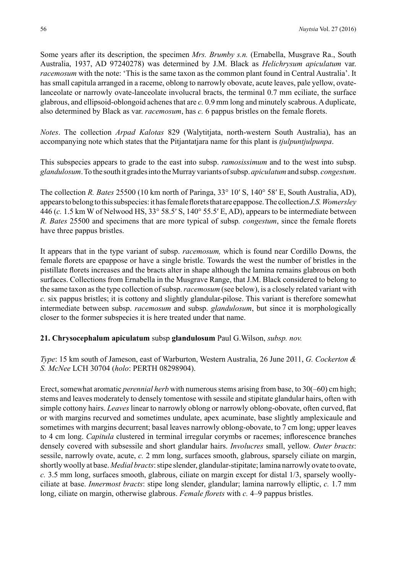Some years after its description, the specimen *Mrs. Brumby s.n.* (Ernabella, Musgrave Ra., South Australia, 1937, AD 97240278) was determined by J.M. Black as *Helichrysum apiculatum* var. *racemosum* with the note: 'This is the same taxon as the common plant found in Central Australia'. It has small capitula arranged in a raceme, oblong to narrowly obovate, acute leaves, pale yellow, ovatelanceolate or narrowly ovate-lanceolate involucral bracts, the terminal 0.7 mm eciliate, the surface glabrous, and ellipsoid-oblongoid achenes that are *c.* 0.9 mm long and minutely scabrous. Aduplicate, also determined by Black as var. *racemosum*, has *c.* 6 pappus bristles on the female florets.

*Notes*. The collection *Arpad Kalotas* 829 (Walytitjata, north-western South Australia), has an accompanying note which states that the Pitjantatjara name for this plant is *tjulpuntjulpunpa*.

This subspecies appears to grade to the east into subsp. *ramosissimum* and to the west into subsp. *glandulosum*. To the south it grades into the Murray variants of subsp. *apiculatum* and subsp. *congestum*.

The collection *R. Bates* 25500 (10 km north of Paringa, 33° 10′ S, 140° 58′ E, South Australia, AD), appears to belong to this subspecies: it has female florets that are epappose.The collection *J.S.Womersley* 446 (*c.* 1.5 km W of Nelwood HS, 33° 58.5′ S, 140° 55.5′ E, AD), appears to be intermediate between *R. Bates* 25500 and specimens that are more typical of subsp*. congestum*, since the female florets have three pappus bristles.

It appears that in the type variant of subsp. *racemosum,* which is found near Cordillo Downs, the female florets are epappose or have a single bristle. Towards the west the number of bristles in the pistillate florets increases and the bracts alter in shape although the lamina remains glabrous on both surfaces. Collections from Ernabella in the Musgrave Range, that J.M. Black considered to belong to the same taxon as the type collection of subsp. *racemosum* (see below), is a closely related variant with *c.* six pappus bristles; it is cottony and slightly glandular-pilose. This variant is therefore somewhat intermediate between subsp. *racemosum* and subsp. *glandulosum*, but since it is morphologically closer to the former subspecies it is here treated under that name.

#### **21. Chrysocephalum apiculatum** subsp **glandulosum** Paul G.Wilson, *subsp. nov.*

*Type*: 15 km south of Jameson, east of Warburton, Western Australia, 26 June 2011, *G. Cockerton & S. McNee* LCH 30704 (*holo*: PERTH 08298904).

Erect, somewhat aromatic *perennial herb* with numerous stems arising from base, to 30(–60) cm high; stems and leaves moderately to densely tomentose with sessile and stipitate glandular hairs, often with simple cottony hairs. *Leaves* linear to narrowly oblong or narrowly oblong-obovate, often curved, flat or with margins recurved and sometimes undulate, apex acuminate, base slightly amplexicaule and sometimes with margins decurrent; basal leaves narrowly oblong-obovate, to 7 cm long; upper leaves to 4 cm long. *Capitula* clustered in terminal irregular corymbs or racemes; inflorescence branches densely covered with subsessile and short glandular hairs. *Involucres* small, yellow. *Outer bracts*: sessile, narrowly ovate, acute, *c.* 2 mm long, surfaces smooth, glabrous, sparsely ciliate on margin, shortly woolly at base. *Medial bracts*: stipe slender, glandular-stipitate; lamina narrowly ovate to ovate, *c.* 3.5 mm long, surfaces smooth, glabrous, ciliate on margin except for distal 1/3, sparsely woollyciliate at base. *Innermost bracts*: stipe long slender, glandular; lamina narrowly elliptic, *c.* 1.7 mm long, ciliate on margin, otherwise glabrous. *Female florets* with *c.* 4–9 pappus bristles.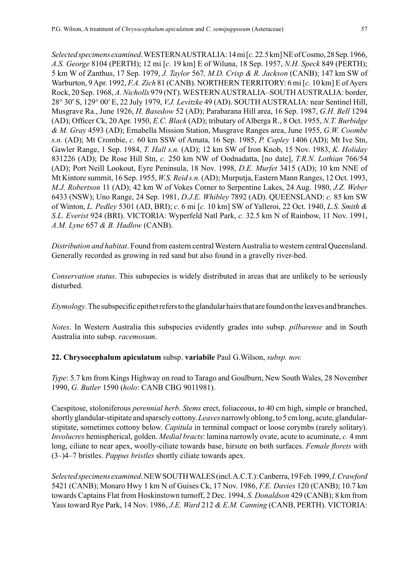*Selected specimens examined*. WESTERN AUSTRALIA: 14 mi [*c.* 22.5 km] NE of Cosmo, 28 Sep. 1966, *A.S. George* 8104 (PERTH); 12 mi [*c.* 19 km] E of Wiluna, 18 Sep. 1957, *N.H. Speck* 849 (PERTH); 5 km W of Zanthus, 17 Sep. 1979, *J. Taylor* 567*, M.D. Crisp & R. Jackson* (CANB); 147 km SW of Warburton, 9 Apr. 1992, *F.A. Zich* 81 (CANB). NORTHERN TERRITORY: 6 mi [*c.* 10 km] E of Ayers Rock, 20 Sep. 1968, *A. Nicholls* 979 (NT). WESTERN AUSTRALIA–SOUTH AUSTRALIA: border, 28° 30′ S, 129° 00′ E, 22 July 1979, *V.J. Levitzke* 49 (AD). SOUTH AUSTRALIA: near Sentinel Hill, Musgrave Ra., June 1926, *H. Basedow* 52 (AD); Parabarana Hill area, 16 Sep. 1987, *G.H. Bell* 1294 (AD); Officer Ck, 20 Apr. 1950, *E.C. Black* (AD); tributary of Alberga R., 8 Oct. 1955, *N.T. Burbidge & M. Gray* 4593 (AD); Ernabella Mission Station, Musgrave Ranges area, June 1955, *G.W. Coombe s.n.* (AD); Mt Crombie, *c.* 60 km SSW of Amata, 16 Sep. 1985, *P. Copley* 1406 (AD); Mt Ive Stn, Gawler Range, 1 Sep. 1984, *T. Hall s.n.* (AD); 12 km SW of Iron Knob, 15 Nov. 1983, *K. Holiday* 831226 (AD); De Rose Hill Stn, *c.* 250 km NW of Oodnadatta, [no date], *T.R.N. Lothian* 766/54 (AD); Port Neill Lookout, Eyre Peninsula, 18 Nov. 1998, *D.E. Murfet* 3415 (AD); 10 km NNE of Mt Kintore summit, 16 Sep. 1955, *W.S. Reid s.n.* (AD); Murputja, Eastern Mann Ranges, 12 Oct. 1993, *M.J. Robertson* 11 (AD); 42 km W of Vokes Corner to Serpentine Lakes, 24 Aug. 1980, *J.Z. Weber* 6433 (NSW); Uno Range, 24 Sep. 1981, *D.J.E. Whibley* 7892 (AD). QUEENSLAND: *c.* 85 km SW of Winton, *L. Pedley* 5301 (AD, BRI); *c.* 6 mi [*c.* 10 km] SW of Yalleroi, 22 Oct. 1940, *L.S. Smith & S.L. Everist* 924 (BRI). VICTORIA: Wyperfeld Natl Park, *c.* 32.5 km N of Rainbow, 11 Nov. 1991, *A.M. Lyne* 657 *& B. Hadlow* (CANB).

*Distribution and habitat*. Found from eastern central Western Australia to western central Queensland. Generally recorded as growing in red sand but also found in a gravelly river-bed.

*Conservation status*. This subspecies is widely distributed in areas that are unlikely to be seriously disturbed.

*Etymology*. The subspecific epithet refers to the glandular hairs that are found on the leaves and branches.

*Notes*. In Western Australia this subspecies evidently grades into subsp. *pilbarense* and in South Australia into subsp. *racemosum*.

**22. Chrysocephalum apiculatum** subsp. **variabile** Paul G.Wilson, *subsp. nov.*

*Type*: 5.7 km from Kings Highway on road to Tarago and Goulburn, New South Wales, 28 November 1990, *G. Butler* 1590 (*holo*: CANB CBG 9011981).

Caespitose, stoloniferous *perennial herb*. *Stems* erect, foliaceous, to 40 cm high, simple or branched, shortly glandular-stipitate and sparsely cottony. *Leaves* narrowly oblong, to 5 cm long, acute, glandularstipitate, sometimes cottony below. *Capitula* in terminal compact or loose corymbs (rarely solitary). *Involucres* hemispherical, golden. *Medial bracts*: lamina narrowly ovate, acute to acuminate, *c.* 4 mm long, ciliate to near apex, woolly-ciliate towards base, hirsute on both surfaces. *Female florets* with (3–)4–7 bristles. *Pappus bristles* shortly ciliate towards apex.

*Selected specimens examined*. NEW SOUTH WALES (incl. A.C.T.): Canberra, 19 Feb. 1999, *I.Crawford* 5421 (CANB); Monaro Hwy 1 km N of Guises Ck, 17 Nov. 1986, *F.E. Davies* 120 (CANB); 10.7 km towards Captains Flat from Hoskinstown turnoff, 2 Dec. 1994, *S. Donaldson* 429 (CANB); 8 km from Yass toward Rye Park, 14 Nov. 1986, *J.E. Ward* 212 *& E.M. Canning* (CANB, PERTH). VICTORIA: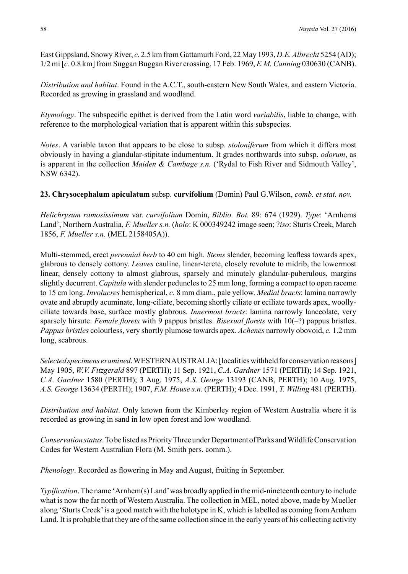East Gippsland, Snowy River, *c.* 2.5 km from Gattamurh Ford, 22 May 1993, *D.E. Albrecht* 5254 (AD); 1/2 mi [*c.* 0.8 km] from Suggan Buggan River crossing, 17 Feb. 1969, *E.M. Canning* 030630 (CANB).

*Distribution and habitat*. Found in the A.C.T., south-eastern New South Wales, and eastern Victoria. Recorded as growing in grassland and woodland.

*Etymology*. The subspecific epithet is derived from the Latin word *variabilis*, liable to change, with reference to the morphological variation that is apparent within this subspecies.

*Notes*. A variable taxon that appears to be close to subsp. *stoloniferum* from which it differs most obviously in having a glandular-stipitate indumentum. It grades northwards into subsp. *odorum*, as is apparent in the collection *Maiden & Cambage s.n.* ('Rydal to Fish River and Sidmouth Valley', NSW 6342).

**23. Chrysocephalum apiculatum** subsp. **curvifolium** (Domin) Paul G.Wilson, *comb. et stat. nov.*

*Helichrysum ramosissimum* var. *curvifolium* Domin, *Biblio. Bot.* 89: 674 (1929). *Type*: 'Arnhems Land', Northern Australia, *F. Mueller s.n.* (*holo*: K 000349242 image seen; ?*iso*: Sturts Creek, March 1856, *F. Mueller s.n.* (MEL 2158405A)).

Multi-stemmed, erect *perennial herb* to 40 cm high. *Stems* slender, becoming leafless towards apex, glabrous to densely cottony. *Leaves* cauline, linear-terete, closely revolute to midrib, the lowermost linear, densely cottony to almost glabrous, sparsely and minutely glandular-puberulous, margins slightly decurrent. *Capitula* with slender peduncles to 25 mm long, forming a compact to open raceme to 15 cm long. *Involucres* hemispherical, *c.* 8 mm diam., pale yellow. *Medial bracts*: lamina narrowly ovate and abruptly acuminate, long-ciliate, becoming shortly ciliate or eciliate towards apex, woollyciliate towards base, surface mostly glabrous. *Innermost bracts*: lamina narrowly lanceolate, very sparsely hirsute. *Female florets* with 9 pappus bristles. *Bisexual florets* with 10(–?) pappus bristles. *Pappus bristles* colourless, very shortly plumose towards apex. *Achenes* narrowly obovoid, *c.* 1.2 mm long, scabrous.

*Selected specimens examined*. WESTERN AUSTRALIA: [localities withheld for conservation reasons] May 1905, *W.V. Fitzgerald* 897 (PERTH); 11 Sep. 1921, *C.A. Gardner* 1571 (PERTH); 14 Sep. 1921, *C.A. Gardner* 1580 (PERTH); 3 Aug. 1975, *A.S. George* 13193 (CANB, PERTH); 10 Aug. 1975, *A.S. George* 13634 (PERTH); 1907, *F.M. House s.n.* (PERTH); 4 Dec. 1991, *T. Willing* 481 (PERTH).

*Distribution and habitat*. Only known from the Kimberley region of Western Australia where it is recorded as growing in sand in low open forest and low woodland.

*Conservation status*. To be listed as Priority Three under Department of Parks and Wildlife Conservation Codes for Western Australian Flora (M. Smith pers. comm.).

*Phenology*. Recorded as flowering in May and August, fruiting in September.

*Typification*. The name 'Arnhem(s) Land' was broadly applied in the mid-nineteenth century to include what is now the far north of Western Australia. The collection in MEL, noted above, made by Mueller along 'Sturts Creek' is a good match with the holotype in K, which is labelled as coming from Arnhem Land. It is probable that they are of the same collection since in the early years of his collecting activity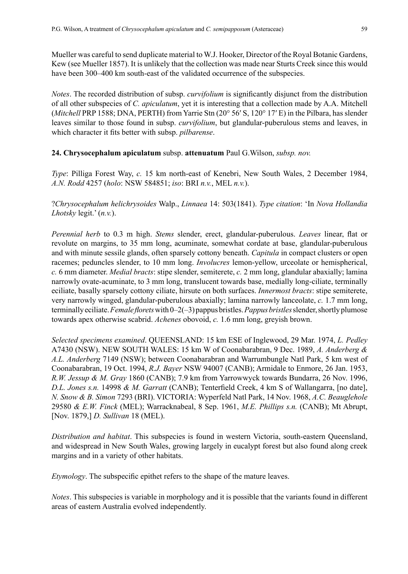Mueller was careful to send duplicate material to W.J. Hooker, Director of the Royal Botanic Gardens, Kew (see Mueller 1857). It is unlikely that the collection was made near Sturts Creek since this would have been 300–400 km south-east of the validated occurrence of the subspecies.

*Notes*. The recorded distribution of subsp. *curvifolium* is significantly disjunct from the distribution of all other subspecies of *C. apiculatum*, yet it is interesting that a collection made by A.A. Mitchell (*Mitchell* PRP 1588; DNA, PERTH) from Yarrie Stn (20° 56′ S, 120° 17′ E) in the Pilbara, has slender leaves similar to those found in subsp. *curvifolium*, but glandular-puberulous stems and leaves, in which character it fits better with subsp. *pilbarense*.

#### **24. Chrysocephalum apiculatum** subsp. **attenuatum** Paul G.Wilson, *subsp. nov.*

*Type*: Pilliga Forest Way, *c.* 15 km north-east of Kenebri, New South Wales, 2 December 1984, *A.N. Rodd* 4257 (*holo*: NSW 584851; *iso*: BRI *n.v.*, MEL *n.v.*).

### ?*Chrysocephalum helichrysoides* Walp., *Linnaea* 14: 503(1841). *Type citation*: 'In *Nova Hollandia Lhotsky* legit.' (*n.v.*).

*Perennial herb* to 0.3 m high. *Stems* slender, erect, glandular-puberulous. *Leaves* linear, flat or revolute on margins, to 35 mm long, acuminate, somewhat cordate at base, glandular-puberulous and with minute sessile glands, often sparsely cottony beneath. *Capitula* in compact clusters or open racemes; peduncles slender, to 10 mm long. *Involucres* lemon-yellow, urceolate or hemispherical, *c.* 6 mm diameter. *Medial bracts*: stipe slender, semiterete, *c.* 2 mm long, glandular abaxially; lamina narrowly ovate-acuminate, to 3 mm long, translucent towards base, medially long-ciliate, terminally eciliate, basally sparsely cottony ciliate, hirsute on both surfaces. *Innermost bracts*: stipe semiterete, very narrowly winged, glandular-puberulous abaxially; lamina narrowly lanceolate, *c.* 1.7 mm long, terminally eciliate. *Female florets* with 0–2(–3) pappus bristles. *Pappus bristles* slender, shortly plumose towards apex otherwise scabrid. *Achenes* obovoid, *c.* 1.6 mm long, greyish brown.

*Selected specimens examined*. QUEENSLAND: 15 km ESE of Inglewood, 29 Mar. 1974, *L. Pedley* A7430 (NSW). NEW SOUTH WALES: 15 km W of Coonabarabran, 9 Dec. 1989, *A. Anderberg & A.L. Anderberg* 7149 (NSW); between Coonabarabran and Warrumbungle Natl Park, 5 km west of Coonabarabran, 19 Oct. 1994, *R.J. Bayer* NSW 94007 (CANB); Armidale to Enmore, 26 Jan. 1953, *R.W. Jessup & M. Gray* 1860 (CANB); 7.9 km from Yarrowwyck towards Bundarra, 26 Nov. 1996, *D.L. Jones s.n.* 14998 *& M. Garratt* (CANB); Tenterfield Creek, 4 km S of Wallangarra, [no date], *N. Snow & B. Simon* 7293 (BRI). VICTORIA: Wyperfeld Natl Park, 14 Nov. 1968, *A.C. Beauglehole* 29580 *& E.W. Finck* (MEL); Warracknabeal, 8 Sep. 1961, *M.E. Phillips s.n.* (CANB); Mt Abrupt, [Nov. 1879,] *D. Sullivan* 18 (MEL).

*Distribution and habitat*. This subspecies is found in western Victoria, south-eastern Queensland, and widespread in New South Wales, growing largely in eucalypt forest but also found along creek margins and in a variety of other habitats.

*Etymology*. The subspecific epithet refers to the shape of the mature leaves.

*Notes*. This subspecies is variable in morphology and it is possible that the variants found in different areas of eastern Australia evolved independently.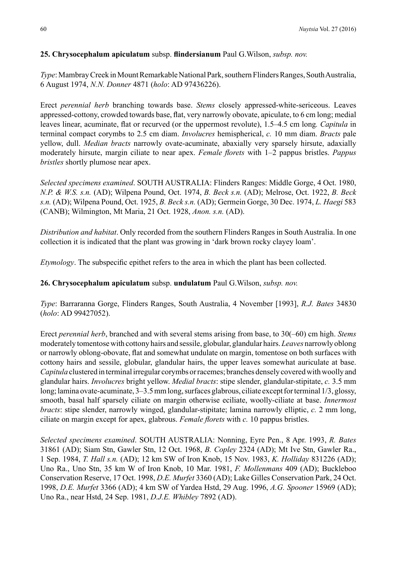## **25. Chrysocephalum apiculatum** subsp. **flindersianum** Paul G.Wilson, *subsp. nov.*

*Type*: Mambray Creek in Mount Remarkable National Park, southern Flinders Ranges, South Australia, 6 August 1974, *N.N. Donner* 4871 (*holo*: AD 97436226).

Erect *perennial herb* branching towards base. *Stems* closely appressed-white-sericeous. Leaves appressed-cottony, crowded towards base, flat, very narrowly obovate, apiculate, to 6 cm long; medial leaves linear, acuminate, flat or recurved (or the uppermost revolute), 1.5–4.5 cm long*. Capitula* in terminal compact corymbs to 2.5 cm diam. *Involucres* hemispherical, *c.* 10 mm diam. *Bracts* pale yellow, dull. *Median bracts* narrowly ovate-acuminate, abaxially very sparsely hirsute, adaxially moderately hirsute, margin ciliate to near apex. *Female florets* with 1–2 pappus bristles. *Pappus bristles* shortly plumose near apex.

*Selected specimens examined*. SOUTH AUSTRALIA: Flinders Ranges: Middle Gorge, 4 Oct. 1980, *N.P. & W.S. s.n.* (AD); Wilpena Pound, Oct. 1974, *B. Beck s.n.* (AD); Melrose, Oct. 1922, *B. Beck s.n.* (AD); Wilpena Pound, Oct. 1925, *B. Beck s.n.* (AD); Germein Gorge, 30 Dec. 1974, *L. Haegi* 583 (CANB); Wilmington, Mt Maria, 21 Oct. 1928, *Anon. s.n.* (AD).

*Distribution and habitat*. Only recorded from the southern Flinders Ranges in South Australia. In one collection it is indicated that the plant was growing in 'dark brown rocky clayey loam'.

*Etymology*. The subspecific epithet refers to the area in which the plant has been collected.

### **26. Chrysocephalum apiculatum** subsp. **undulatum** Paul G.Wilson, *subsp. nov.*

*Type*: Barraranna Gorge, Flinders Ranges, South Australia, 4 November [1993], *R.J. Bates* 34830 (*holo*: AD 99427052).

Erect *perennial herb*, branched and with several stems arising from base, to 30(–60) cm high. *Stems* moderately tomentose with cottony hairs and sessile, globular, glandular hairs. *Leaves* narrowly oblong or narrowly oblong-obovate, flat and somewhat undulate on margin, tomentose on both surfaces with cottony hairs and sessile, globular, glandular hairs, the upper leaves somewhat auriculate at base. *Capitula* clustered in terminal irregular corymbs or racemes; branches densely covered with woolly and glandular hairs. *Involucres* bright yellow. *Medial bracts*: stipe slender, glandular-stipitate, *c.* 3.5 mm long; lamina ovate-acuminate, 3–3.5 mm long, surfaces glabrous, ciliate except for terminal 1/3, glossy, smooth, basal half sparsely ciliate on margin otherwise eciliate, woolly-ciliate at base. *Innermost bracts*: stipe slender, narrowly winged, glandular-stipitate; lamina narrowly elliptic, *c.* 2 mm long, ciliate on margin except for apex, glabrous. *Female florets* with *c.* 10 pappus bristles.

*Selected specimens examined*. SOUTH AUSTRALIA: Nonning, Eyre Pen., 8 Apr. 1993, *R. Bates* 31861 (AD); Siam Stn, Gawler Stn, 12 Oct. 1968, *B. Copley* 2324 (AD); Mt Ive Stn, Gawler Ra., 1 Sep. 1984, *T. Hall s.n.* (AD); 12 km SW of Iron Knob, 15 Nov. 1983, *K. Holliday* 831226 (AD); Uno Ra., Uno Stn, 35 km W of Iron Knob, 10 Mar. 1981, *F. Mollenmans* 409 (AD); Buckleboo Conservation Reserve, 17 Oct. 1998, *D.E. Murfet* 3360 (AD); Lake Gilles Conservation Park, 24 Oct. 1998, *D.E. Murfet* 3366 (AD); 4 km SW of Yardea Hstd, 29 Aug. 1996, *A.G. Spooner* 15969 (AD); Uno Ra., near Hstd, 24 Sep. 1981, *D.J.E. Whibley* 7892 (AD).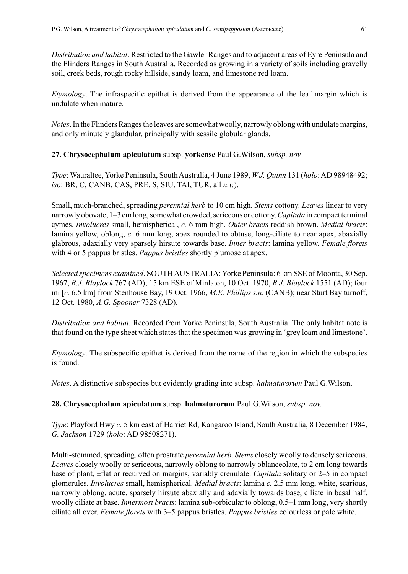*Distribution and habitat*. Restricted to the Gawler Ranges and to adjacent areas of Eyre Peninsula and the Flinders Ranges in South Australia. Recorded as growing in a variety of soils including gravelly soil, creek beds, rough rocky hillside, sandy loam, and limestone red loam.

*Etymology*. The infraspecific epithet is derived from the appearance of the leaf margin which is undulate when mature.

*Notes*. In the Flinders Ranges the leaves are somewhat woolly, narrowly oblong with undulate margins, and only minutely glandular, principally with sessile globular glands.

**27. Chrysocephalum apiculatum** subsp. **yorkense** Paul G.Wilson, *subsp. nov.*

*Type*: Wauraltee, Yorke Peninsula, South Australia, 4 June 1989, *W.J. Quinn* 131 (*holo*: AD 98948492; *iso*: BR, C, CANB, CAS, PRE, S, SIU, TAI, TUR, all *n.v.*).

Small, much-branched, spreading *perennial herb* to 10 cm high. *Stems* cottony. *Leaves* linear to very narrowly obovate, 1–3 cm long, somewhat crowded, sericeous or cottony. *Capitula* in compact terminal cymes. *Involucres* small, hemispherical, *c.* 6 mm high. *Outer bracts* reddish brown. *Medial bracts*: lamina yellow, oblong, *c.* 6 mm long, apex rounded to obtuse, long-ciliate to near apex, abaxially glabrous, adaxially very sparsely hirsute towards base. *Inner bracts*: lamina yellow. *Female florets* with 4 or 5 pappus bristles. *Pappus bristles* shortly plumose at apex.

*Selected specimens examined*. SOUTH AUSTRALIA: Yorke Peninsula: 6 km SSE of Moonta, 30 Sep. 1967, *B.J. Blaylock* 767 (AD); 15 km ESE of Minlaton, 10 Oct. 1970, *B.J. Blaylock* 1551 (AD); four mi [*c.* 6.5 km] from Stenhouse Bay, 19 Oct. 1966, *M.E. Phillips s.n.* (CANB); near Sturt Bay turnoff, 12 Oct. 1980, *A.G. Spooner* 7328 (AD).

*Distribution and habitat*. Recorded from Yorke Peninsula, South Australia. The only habitat note is that found on the type sheet which states that the specimen was growing in 'grey loam and limestone'.

*Etymology*. The subspecific epithet is derived from the name of the region in which the subspecies is found.

*Notes*. A distinctive subspecies but evidently grading into subsp. *halmaturorum* Paul G.Wilson.

**28. Chrysocephalum apiculatum** subsp. **halmaturorum** Paul G.Wilson, *subsp. nov.*

*Type*: Playford Hwy *c.* 5 km east of Harriet Rd, Kangaroo Island, South Australia, 8 December 1984, *G. Jackson* 1729 (*holo*: AD 98508271).

Multi-stemmed, spreading, often prostrate *perennial herb*. *Stems* closely woolly to densely sericeous. *Leaves* closely woolly or sericeous, narrowly oblong to narrowly oblanceolate, to 2 cm long towards base of plant, ±flat or recurved on margins, variably crenulate. *Capitula* solitary or 2–5 in compact glomerules. *Involucres* small, hemispherical. *Medial bracts*: lamina *c.* 2.5 mm long, white, scarious, narrowly oblong, acute, sparsely hirsute abaxially and adaxially towards base, ciliate in basal half, woolly ciliate at base. *Innermost bracts*: lamina sub-orbicular to oblong, 0.5–1 mm long, very shortly ciliate all over. *Female florets* with 3–5 pappus bristles. *Pappus bristles* colourless or pale white.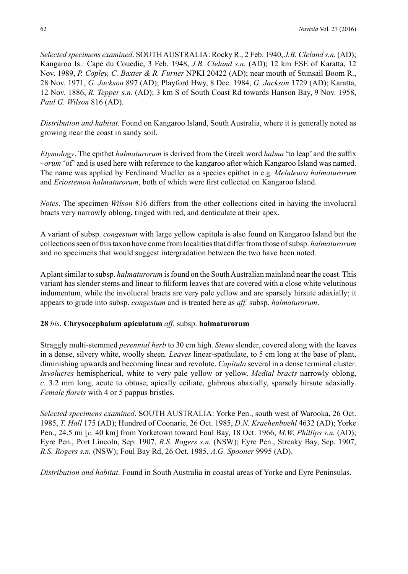*Selected specimens examined*. SOUTH AUSTRALIA: Rocky R., 2 Feb. 1940, *J.B. Cleland s.n.* (AD); Kangaroo Is.: Cape du Couedic, 3 Feb. 1948, *J.B. Cleland s.n.* (AD); 12 km ESE of Karatta, 12 Nov. 1989, *P. Copley, C. Baxter & R. Furner* NPKI 20422 (AD); near mouth of Stunsail Boom R., 28 Nov. 1971, *G. Jackson* 897 (AD); Playford Hwy, 8 Dec. 1984, *G. Jackson* 1729 (AD); Karatta, 12 Nov. 1886, *R. Tepper s.n.* (AD); 3 km S of South Coast Rd towards Hanson Bay, 9 Nov. 1958, *Paul G. Wilson* 816 (AD).

*Distribution and habitat*. Found on Kangaroo Island, South Australia, where it is generally noted as growing near the coast in sandy soil.

*Etymology*. The epithet *halmaturorum* is derived from the Greek word *halma* 'to leap' and the suffix –*orum* 'of' and is used here with reference to the kangaroo after which Kangaroo Island was named. The name was applied by Ferdinand Mueller as a species epithet in e.g. *Melaleuca halmaturorum* and *Eriostemon halmaturorum*, both of which were first collected on Kangaroo Island.

*Notes*. The specimen *Wilson* 816 differs from the other collections cited in having the involucral bracts very narrowly oblong, tinged with red, and denticulate at their apex.

A variant of subsp. *congestum* with large yellow capitula is also found on Kangaroo Island but the collections seen of this taxon have come from localities that differ from those of subsp. *halmaturorum* and no specimens that would suggest intergradation between the two have been noted.

A plant similar to subsp. *halmaturorum* is found on the South Australian mainland near the coast. This variant has slender stems and linear to filiform leaves that are covered with a close white velutinous indumentum, while the involucral bracts are very pale yellow and are sparsely hirsute adaxially; it appears to grade into subsp. *congestum* and is treated here as *aff.* subsp. *halmaturorum*.

#### **28** *bis*. **Chrysocephalum apiculatum** *aff.* subsp. **halmaturorum**

Straggly multi-stemmed *perennial herb* to 30 cm high. *Stems* slender, covered along with the leaves in a dense, silvery white, woolly sheen. *Leaves* linear-spathulate, to 5 cm long at the base of plant, diminishing upwards and becoming linear and revolute. *Capitula* several in a dense terminal cluster. *Involucres* hemispherical, white to very pale yellow or yellow. *Medial bracts* narrowly oblong, *c.* 3.2 mm long, acute to obtuse, apically eciliate, glabrous abaxially, sparsely hirsute adaxially. *Female florets* with 4 or 5 pappus bristles.

*Selected specimens examined*. SOUTH AUSTRALIA: Yorke Pen., south west of Warooka, 26 Oct. 1985, *T. Hall* 175 (AD); Hundred of Coonarie, 26 Oct. 1985, *D.N. Kraehenbuehl* 4632 (AD); Yorke Pen., 24.5 mi [*c.* 40 km] from Yorketown toward Foul Bay, 18 Oct. 1966, *M.W. Phillips s.n.* (AD); Eyre Pen., Port Lincoln, Sep. 1907, *R.S. Rogers s.n.* (NSW); Eyre Pen., Streaky Bay, Sep. 1907, *R.S. Rogers s.n.* (NSW); Foul Bay Rd, 26 Oct. 1985, *A.G. Spooner* 9995 (AD).

*Distribution and habitat*. Found in South Australia in coastal areas of Yorke and Eyre Peninsulas.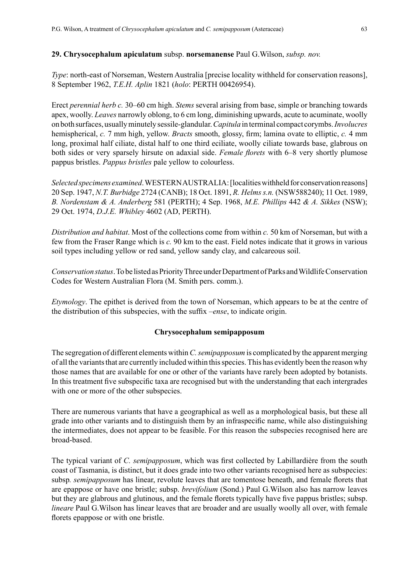#### **29. Chrysocephalum apiculatum** subsp. **norsemanense** Paul G.Wilson, *subsp. nov.*

*Type*: north-east of Norseman, Western Australia [precise locality withheld for conservation reasons], 8 September 1962, *T.E.H. Aplin* 1821 (*holo*: PERTH 00426954).

Erect *perennial herb c.* 30–60 cm high. *Stems* several arising from base, simple or branching towards apex, woolly. *Leaves* narrowly oblong, to 6 cm long, diminishing upwards, acute to acuminate, woolly on both surfaces, usually minutely sessile-glandular. *Capitula* in terminal compact corymbs. *Involucres* hemispherical, *c.* 7 mm high, yellow. *Bracts* smooth, glossy, firm; lamina ovate to elliptic, *c.* 4 mm long, proximal half ciliate, distal half to one third eciliate, woolly ciliate towards base, glabrous on both sides or very sparsely hirsute on adaxial side. *Female florets* with 6–8 very shortly plumose pappus bristles. *Pappus bristles* pale yellow to colourless.

*Selected specimens examined*. WESTERN AUSTRALIA: [localities withheld for conservation reasons] 20 Sep. 1947, *N.T. Burbidge* 2724 (CANB); 18 Oct. 1891, *R. Helms s.n.* (NSW588240); 11 Oct. 1989, *B. Nordenstam & A. Anderberg* 581 (PERTH); 4 Sep. 1968, *M.E. Phillips* 442 *& A. Sikkes* (NSW); 29 Oct. 1974, *D.J.E. Whibley* 4602 (AD, PERTH).

*Distribution and habitat*. Most of the collections come from within *c.* 50 km of Norseman, but with a few from the Fraser Range which is *c.* 90 km to the east. Field notes indicate that it grows in various soil types including yellow or red sand, yellow sandy clay, and calcareous soil.

*Conservation status*. To be listed as Priority Three under Department of Parks and Wildlife Conservation Codes for Western Australian Flora (M. Smith pers. comm.).

*Etymology*. The epithet is derived from the town of Norseman, which appears to be at the centre of the distribution of this subspecies, with the suffix –*ense*, to indicate origin.

#### **Chrysocephalum semipapposum**

The segregation of different elements within *C. semipapposum* is complicated by the apparent merging of all the variants that are currently included within this species. This has evidently been the reason why those names that are available for one or other of the variants have rarely been adopted by botanists. In this treatment five subspecific taxa are recognised but with the understanding that each intergrades with one or more of the other subspecies.

There are numerous variants that have a geographical as well as a morphological basis, but these all grade into other variants and to distinguish them by an infraspecific name, while also distinguishing the intermediates, does not appear to be feasible. For this reason the subspecies recognised here are broad-based.

The typical variant of *C. semipapposum*, which was first collected by Labillardière from the south coast of Tasmania, is distinct, but it does grade into two other variants recognised here as subspecies: subsp*. semipapposum* has linear, revolute leaves that are tomentose beneath, and female florets that are epappose or have one bristle; subsp. *brevifolium* (Sond.) Paul G.Wilson also has narrow leaves but they are glabrous and glutinous, and the female florets typically have five pappus bristles; subsp. *lineare* Paul G.Wilson has linear leaves that are broader and are usually woolly all over, with female florets epappose or with one bristle.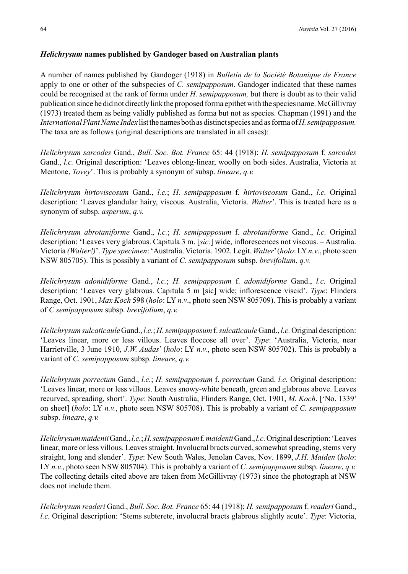## *Helichrysum* **names published by Gandoger based on Australian plants**

A number of names published by Gandoger (1918) in *Bulletin de la Société Botanique de France*  apply to one or other of the subspecies of *C. semipapposum*. Gandoger indicated that these names could be recognised at the rank of forma under *H. semipapposum,* but there is doubt as to their valid publication since he did not directly link the proposed forma epithet with the species name. McGillivray (1973) treated them as being validly published as forma but not as species. Chapman (1991) and the *International Plant Name Index* list the names both as distinct species and as forma of *H. semipapposum.*  The taxa are as follows (original descriptions are translated in all cases):

*Helichrysum sarcodes* Gand., *Bull. Soc. Bot. France* 65: 44 (1918); *H. semipapposum* f. *sarcodes* Gand., *l.c.* Original description: 'Leaves oblong-linear, woolly on both sides. Australia, Victoria at Mentone, *Tovey*'. This is probably a synonym of subsp. *lineare*, *q.v.*

*Helichrysum hirtoviscosum* Gand., *l.c.*; *H. semipapposum* f*. hirtoviscosum* Gand., *l.c.* Original description: 'Leaves glandular hairy, viscous. Australia, Victoria. *Walter*'. This is treated here as a synonym of subsp. *asperum*, *q.v.*

*Helichrysum abrotaniforme* Gand., *l.c.*; *H. semipapposum* f. *abrotaniforme* Gand., *l.c.* Original description: 'Leaves very glabrous. Capitula 3 m. [*sic.*] wide, inflorescences not viscous. – Australia. Victoria *(Walter!)*'. *Type specimen*: 'Australia. Victoria. 1902. Legit. *Walter*' (*holo*: LY *n.v*., photo seen NSW 805705). This is possibly a variant of *C. semipapposum* subsp. *brevifolium*, *q.v.*

*Helichrysum adonidiforme* Gand., *l.c.*; *H. semipapposum* f. *adonidiforme* Gand., *l.c.* Original description: 'Leaves very glabrous. Capitula 5 m [sic] wide; inflorescence viscid'. *Type*: Flinders Range, Oct. 1901, *Max Koch* 598 (*holo*: LY *n.v*., photo seen NSW 805709). This is probably a variant of *C semipapposum* subsp. *brevifolium*, *q.v.*

*Helichrysum sulcaticaule* Gand., *l.c.*; *H. semipapposum* f. *sulcaticaule* Gand., *l.c.* Original description: 'Leaves linear, more or less villous. Leaves floccose all over'. *Type*: 'Australia, Victoria, near Harrietville, 3 June 1910, *J.W. Audas*' (*holo*: LY *n.v.*, photo seen NSW 805702). This is probably a variant of *C. semipapposum* subsp. *lineare*, *q.v.*

*Helichrysum porrectum* Gand., *l.c.*; *H. semipapposum* f. *porrectum* Gand. *l.c.* Original description: 'Leaves linear, more or less villous. Leaves snowy-white beneath, green and glabrous above. Leaves recurved, spreading, short'. *Type*: South Australia, Flinders Range, Oct. 1901, *M. Koch*. ['No. 1339' on sheet] (*holo*: LY *n.v.*, photo seen NSW 805708). This is probably a variant of *C. semipapposum* subsp. *lineare*, *q.v.*

*Helichrysum maidenii* Gand., *l.c.*; *H. semipapposum* f. *maidenii* Gand., *l.c.* Original description: 'Leaves linear, more or less villous. Leaves straight. Involucral bracts curved, somewhat spreading, stems very straight, long and slender'. *Type*: New South Wales, Jenolan Caves, Nov. 1899, *J.H. Maiden* (*holo*: LY *n.v.*, photo seen NSW 805704). This is probably a variant of *C. semipapposum* subsp. *lineare*, *q.v.* The collecting details cited above are taken from McGillivray (1973) since the photograph at NSW does not include them.

*Helichrysum readeri* Gand., *Bull. Soc. Bot. France* 65: 44 (1918); *H. semipapposum* f. *readeri* Gand., *l.c.* Original description: 'Stems subterete, involucral bracts glabrous slightly acute'. *Type*: Victoria,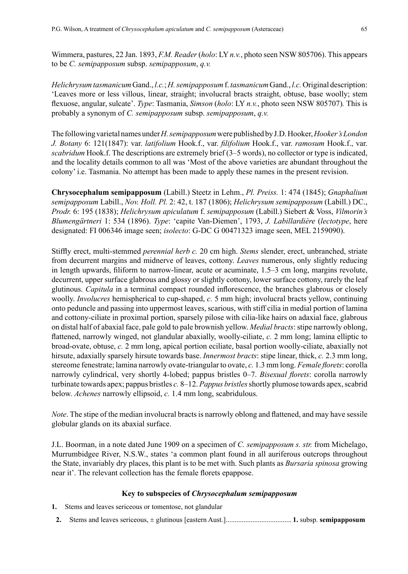Wimmera, pastures, 22 Jan. 1893, *F.M. Reader* (*holo*: LY *n.v.*, photo seen NSW 805706). This appears to be *C. semipapposum* subsp. *semipapposum*, *q.v.*

*Helichrysum tasmanicum* Gand., *l.c.*; *H. semipapposum* f. *tasmanicum* Gand., *l.c.* Original description: 'Leaves more or less villous, linear, straight; involucral bracts straight, obtuse, base woolly; stem flexuose, angular, sulcate'. *Type*: Tasmania, *Simson* (*holo*: LY *n.v.*, photo seen NSW 805707)*.* This is probably a synonym of *C. semipapposum* subsp. *semipapposum*, *q.v.*

The following varietal names under *H. semipapposum* were published by J.D. Hooker, *Hooker's London J. Botany* 6: 121(1847): var. *latifolium* Hook.f., var. *filifolium* Hook.f., var. *ramosum* Hook.f., var. *scabridum* Hook.f. The descriptions are extremely brief (3–5 words), no collector or type is indicated, and the locality details common to all was 'Most of the above varieties are abundant throughout the colony' i.e. Tasmania. No attempt has been made to apply these names in the present revision.

**Chrysocephalum semipapposum** (Labill.) Steetz in Lehm., *Pl. Preiss.* 1: 474 (1845); *Gnaphalium semipapposum* Labill., *Nov. Holl. Pl.* 2: 42, t. 187 (1806); *Helichrysum semipapposum* (Labill.) DC., *Prodr.* 6: 195 (1838); *Helichrysum apiculatum* f. *semipapposum* (Labill.) Siebert & Voss, *Vilmorin's Blumengärtneri* 1: 534 (1896). *Type*: 'capite Van-Diemen', 1793, *J. Labillardière* (*lectotype*, here designated: FI 006346 image seen; *isolecto*: G-DC G 00471323 image seen, MEL 2159090).

Stiffly erect, multi-stemmed *perennial herb c.* 20 cm high. *Stems* slender, erect, unbranched, striate from decurrent margins and midnerve of leaves, cottony. *Leaves* numerous, only slightly reducing in length upwards, filiform to narrow-linear, acute or acuminate, 1.5–3 cm long, margins revolute, decurrent, upper surface glabrous and glossy or slightly cottony, lower surface cottony, rarely the leaf glutinous. *Capitula* in a terminal compact rounded inflorescence, the branches glabrous or closely woolly. *Involucres* hemispherical to cup-shaped, *c.* 5 mm high; involucral bracts yellow, continuing onto peduncle and passing into uppermost leaves, scarious, with stiff cilia in medial portion of lamina and cottony-ciliate in proximal portion, sparsely pilose with cilia-like hairs on adaxial face, glabrous on distal half of abaxial face, pale gold to pale brownish yellow. *Medial bracts*: stipe narrowly oblong, flattened, narrowly winged, not glandular abaxially, woolly-ciliate, *c.* 2 mm long; lamina elliptic to broad-ovate, obtuse, *c.* 2 mm long, apical portion eciliate, basal portion woolly-ciliate, abaxially not hirsute, adaxially sparsely hirsute towards base. *Innermost bracts*: stipe linear, thick, *c.* 2.3 mm long, stereome fenestrate; lamina narrowly ovate-triangular to ovate, *c.* 1.3 mm long. *Female florets*: corolla narrowly cylindrical, very shortly 4-lobed; pappus bristles 0–7. *Bisexual florets*: corolla narrowly turbinate towards apex; pappus bristles *c.* 8–12. *Pappus bristles* shortly plumose towards apex, scabrid below. *Achenes* narrowly ellipsoid, *c.* 1.4 mm long, scabridulous.

*Note*. The stipe of the median involucral bracts is narrowly oblong and flattened, and may have sessile globular glands on its abaxial surface.

J.L. Boorman, in a note dated June 1909 on a specimen of *C. semipapposum s. str.* from Michelago, Murrumbidgee River, N.S.W., states 'a common plant found in all auriferous outcrops throughout the State, invariably dry places, this plant is to be met with. Such plants as *Bursaria spinosa* growing near it'. The relevant collection has the female florets epappose.

#### **Key to subspecies of** *Chrysocephalum semipapposum*

**1.** Stems and leaves sericeous or tomentose, not glandular

**2.** Stems and leaves sericeous, ± glutinous [eastern Aust.]..................................... **1.** subsp. **semipapposum**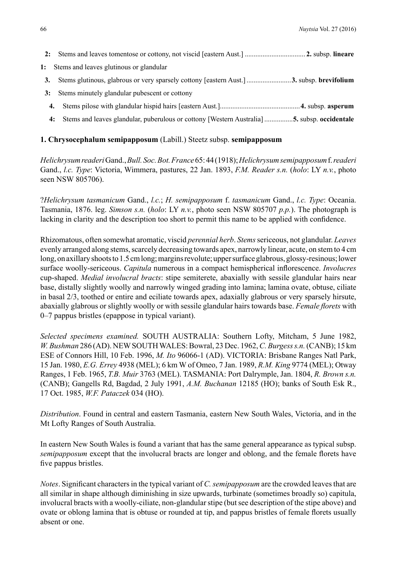- **2:** Stems and leaves tomentose or cottony, not viscid [eastern Aust.] .................................. **2.** subsp. **lineare**
- **1:** Stems and leaves glutinous or glandular
- **3.** Stems glutinous, glabrous or very sparsely cottony [eastern Aust.].........................**3.** subsp. **brevifolium**
- **3:** Stems minutely glandular pubescent or cottony
- **4.** Stems pilose with glandular hispid hairs [eastern Aust.].............................................**4.** subsp. **asperum**
- **4:** Stems and leaves glandular, puberulous or cottony [Western Australia] ................**5.** subsp. **occidentale**

#### **1. Chrysocephalum semipapposum** (Labill.) Steetz subsp. **semipapposum**

*Helichrysum readeri* Gand., *Bull. Soc. Bot. France* 65: 44 (1918); *Helichrysum semipapposum* f.*readeri*  Gand., *l.c. Type*: Victoria, Wimmera, pastures, 22 Jan. 1893, *F.M. Reader s.n.* (*holo*: LY *n.v.*, photo seen NSW 805706).

?*Helichrysum tasmanicum* Gand., *l.c.*; *H. semipapposum* f. *tasmanicum* Gand., *l.c. Type*: Oceania. Tasmania, 1876. leg. *Simson s.n.* (*holo*: LY *n.v.*, photo seen NSW 805707 *p.p.*). The photograph is lacking in clarity and the description too short to permit this name to be applied with confidence.

Rhizomatous, often somewhat aromatic, viscid *perennial herb*. *Stems* sericeous, not glandular. *Leaves* evenly arranged along stems, scarcely decreasing towards apex, narrowly linear, acute, on stem to 4 cm long, on axillary shoots to 1.5 cm long; margins revolute; upper surface glabrous, glossy-resinous; lower surface woolly-sericeous. *Capitula* numerous in a compact hemispherical inflorescence. *Involucres* cup-shaped. *Medial involucral bracts*: stipe semiterete, abaxially with sessile glandular hairs near base, distally slightly woolly and narrowly winged grading into lamina; lamina ovate, obtuse, ciliate in basal 2/3, toothed or entire and eciliate towards apex, adaxially glabrous or very sparsely hirsute, abaxially glabrous or slightly woolly or with sessile glandular hairs towards base. *Female florets* with 0–7 pappus bristles (epappose in typical variant).

*Selected specimens examined.* SOUTH AUSTRALIA: Southern Lofty, Mitcham, 5 June 1982, *W.Bushman* 286 (AD). NEW SOUTH WALES: Bowral, 23 Dec. 1962, *C. Burgess s.n.* (CANB); 15 km ESE of Connors Hill, 10 Feb. 1996, *M. Ito* 96066-1 (AD). VICTORIA: Brisbane Ranges Natl Park, 15 Jan. 1980, *E.G. Errey* 4938 (MEL); 6 km W of Omeo, 7 Jan. 1989, *R.M. King* 9774 (MEL); Otway Ranges, 1 Feb. 1965, *T.B. Muir* 3763 (MEL). TASMANIA: Port Dalrymple, Jan. 1804, *R. Brown s.n.* (CANB); Gangells Rd, Bagdad, 2 July 1991, *A.M. Buchanan* 12185 (HO); banks of South Esk R., 17 Oct. 1985, *W.F. Pataczek* 034 (HO).

*Distribution*. Found in central and eastern Tasmania, eastern New South Wales, Victoria, and in the Mt Lofty Ranges of South Australia.

In eastern New South Wales is found a variant that has the same general appearance as typical subsp. *semipapposum* except that the involucral bracts are longer and oblong, and the female florets have five pappus bristles.

*Notes*. Significant characters in the typical variant of *C. semipapposum* are the crowded leaves that are all similar in shape although diminishing in size upwards, turbinate (sometimes broadly so) capitula, involucral bracts with a woolly-ciliate, non-glandular stipe (but see description of the stipe above) and ovate or oblong lamina that is obtuse or rounded at tip, and pappus bristles of female florets usually absent or one.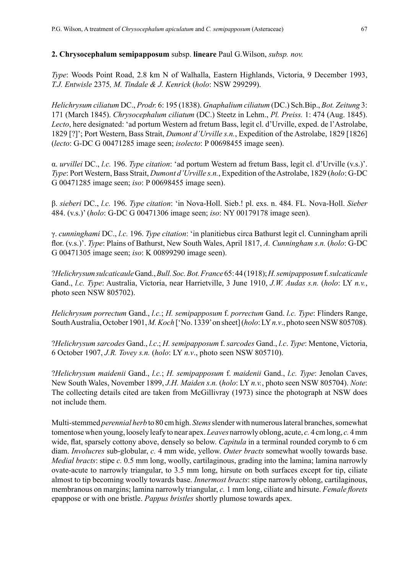#### **2. Chrysocephalum semipapposum** subsp. **lineare** Paul G.Wilson, *subsp. nov.*

*Type*: Woods Point Road, 2.8 km N of Walhalla, Eastern Highlands, Victoria, 9 December 1993, *T.J. Entwisle* 2375*, M. Tindale & J. Kenrick* (*holo*: NSW 299299).

*Helichrysum ciliatum* DC., *Prodr.* 6: 195 (1838). *Gnaphalium ciliatum* (DC.) Sch.Bip., *Bot. Zeitung* 3: 171 (March 1845). *Chrysocephalum ciliatum* (DC.) Steetz in Lehm., *Pl. Preiss.* 1: 474 (Aug. 1845). *Lecto*, here designated: 'ad portum Western ad fretum Bass, legit cl. d'Urville, exped. de l'Astrolabe, 1829 [?]'; Port Western, Bass Strait, *Dumont d'Urville s.n.*, Expedition of the Astrolabe, 1829 [1826] (*lecto*: G-DC G 00471285 image seen; *isolecto*: P 00698455 image seen).

α. *urvillei* DC., *l.c.* 196. *Type citation*: 'ad portum Western ad fretum Bass, legit cl. d'Urville (v.s.)'. *Type*: Port Western, Bass Strait, *Dumont d'Urville s.n.*, Expedition of the Astrolabe, 1829 (*holo*: G-DC G 00471285 image seen; *iso*: P 00698455 image seen).

β. *sieberi* DC., *l.c.* 196. *Type citation*: 'in Nova-Holl. Sieb.! pl. exs. n. 484. FL. Nova-Holl. *Sieber* 484. (v.s.)' (*holo*: G-DC G 00471306 image seen; *iso*: NY 00179178 image seen).

γ. *cunninghami* DC., *l.c.* 196. *Type citation*: 'in planitiebus circa Bathurst legit cl. Cunningham aprili flor. (v.s.)'. *Type*: Plains of Bathurst, New South Wales, April 1817, *A. Cunningham s.n.* (*holo*: G-DC G 00471305 image seen; *iso*: K 00899290 image seen).

?*Helichrysum sulcaticaule* Gand., *Bull. Soc. Bot. France* 65: 44 (1918); *H. semipapposum* f. *sulcaticaule* Gand., *l.c. Type*: Australia, Victoria, near Harrietville, 3 June 1910, *J.W. Audas s.n.* (*holo*: LY *n.v.*, photo seen NSW 805702).

*Helichrysum porrectum* Gand., *l.c.*; *H. semipapposum* f. *porrectum* Gand. *l.c. Type*: Flinders Range, South Australia, October 1901, *M. Koch* ['No. 1339' on sheet] (*holo*: LY *n.v*., photo seen NSW 805708)*.*

?*Helichrysum sarcodes* Gand., *l.c*.; *H. semipapposum* f. *sarcodes* Gand., *l.c*. *Type*: Mentone, Victoria, 6 October 1907, *J.R. Tovey s.n.* (*holo*: LY *n.v*., photo seen NSW 805710).

?*Helichrysum maidenii* Gand., *l.c.*; *H. semipapposum* f. *maidenii* Gand., *l.c. Type*: Jenolan Caves, New South Wales, November 1899, *J.H. Maiden s.n.* (*holo*: LY *n.v.*, photo seen NSW 805704). *Note*: The collecting details cited are taken from McGillivray (1973) since the photograph at NSW does not include them.

Multi-stemmed *perennial herb* to 80 cm high. *Stems* slender with numerous lateral branches, somewhat tomentose when young, loosely leafy to near apex. *Leaves* narrowly oblong, acute, *c.* 4 cm long, *c.* 4mm wide, flat, sparsely cottony above, densely so below. *Capitula* in a terminal rounded corymb to 6 cm diam. *Involucres* sub-globular, *c.* 4 mm wide, yellow. *Outer bracts* somewhat woolly towards base. *Medial bracts*: stipe *c.* 0.5 mm long, woolly, cartilaginous, grading into the lamina; lamina narrowly ovate-acute to narrowly triangular, to 3.5 mm long, hirsute on both surfaces except for tip, ciliate almost to tip becoming woolly towards base. *Innermost bracts*: stipe narrowly oblong, cartilaginous, membranous on margins; lamina narrowly triangular, *c.* 1 mm long, ciliate and hirsute. *Female florets* epappose or with one bristle. *Pappus bristles* shortly plumose towards apex.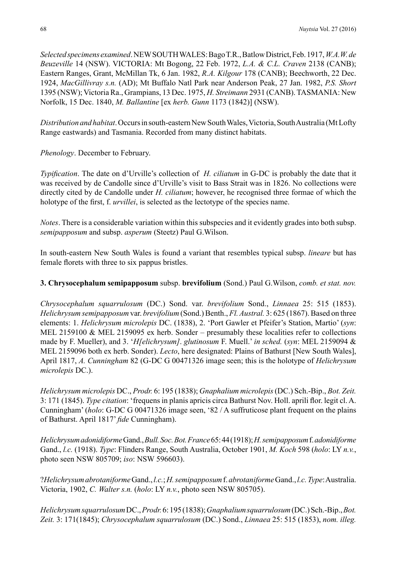*Selected specimens examined*.NEW SOUTH WALES: Bago T.R., Batlow District, Feb. 1917, *W.A.W.de Beuzeville* 14 (NSW). VICTORIA: Mt Bogong, 22 Feb. 1972, *L.A. & C.L. Craven* 2138 (CANB); Eastern Ranges, Grant, McMillan Tk, 6 Jan. 1982, *R.A. Kilgour* 178 (CANB); Beechworth, 22 Dec. 1924, *MacGillivray s.n.* (AD); Mt Buffalo Natl Park near Anderson Peak, 27 Jan. 1982, *P.S. Short* 1395 (NSW); Victoria Ra., Grampians, 13 Dec. 1975, *H. Streimann* 2931 (CANB). TASMANIA: New Norfolk, 15 Dec. 1840, *M. Ballantine* [ex *herb. Gunn* 1173 (1842)] (NSW).

*Distribution and habitat*. Occurs in south-eastern New South Wales, Victoria, South Australia (MtLofty Range eastwards) and Tasmania. Recorded from many distinct habitats.

*Phenology*. December to February.

*Typification*. The date on d'Urville's collection of *H. ciliatum* in G-DC is probably the date that it was received by de Candolle since d'Urville's visit to Bass Strait was in 1826. No collections were directly cited by de Candolle under *H. ciliatum*; however, he recognised three formae of which the holotype of the first, f. *urvillei*, is selected as the lectotype of the species name.

*Notes*. There is a considerable variation within this subspecies and it evidently grades into both subsp. *semipapposum* and subsp. *asperum* (Steetz) Paul G.Wilson.

In south-eastern New South Wales is found a variant that resembles typical subsp. *lineare* but has female florets with three to six pappus bristles.

### **3. Chrysocephalum semipapposum** subsp. **brevifolium** (Sond.) Paul G.Wilson, *comb. et stat. nov.*

*Chrysocephalum squarrulosum* (DC.) Sond. var. *brevifolium* Sond., *Linnaea* 25: 515 (1853). *Helichrysum semipapposum* var. *brevifolium* (Sond.) Benth., *Fl. Austral.* 3: 625 (1867). Based on three elements: 1. *Helichrysum microlepis* DC. (1838), 2. 'Port Gawler et Pfeifer's Station, Martio' (*syn*: MEL 2159100 & MEL 2159095 ex herb. Sonder – presumably these localities refer to collections made by F. Mueller), and 3. '*H[elichrysum]*. *glutinosum* F. Muell.' *in sched.* (*syn*: MEL 2159094 & MEL 2159096 both ex herb. Sonder). *Lecto*, here designated: Plains of Bathurst [New South Wales], April 1817, *A. Cunningham* 82 (G-DC G 00471326 image seen; this is the holotype of *Helichrysum microlepis* DC.).

*Helichrysum microlepis* DC., *Prodr.* 6: 195 (1838); *Gnaphalium microlepis* (DC.) Sch.-Bip., *Bot. Zeit.* 3: 171 (1845). *Type citation*: 'frequens in planis apricis circa Bathurst Nov. Holl. aprili flor. legit cl. A. Cunningham' (*holo*: G-DC G 00471326 image seen, '82 / A suffruticose plant frequent on the plains of Bathurst. April 1817' *fide* Cunningham).

*Helichrysum adonidiforme* Gand., *Bull. Soc. Bot. France* 65: 44 (1918); *H. semipapposum* f. *adonidiforme*  Gand., *l.c.* (1918). *Type*: Flinders Range, South Australia, October 1901, *M. Koch* 598 (*holo*: LY *n.v.*, photo seen NSW 805709; *iso*: NSW 596603).

?*Helichrysum abrotaniforme* Gand., *l.c.*; *H. semipapposum* f. *abrotaniforme* Gand., *l.c.Type*: Australia. Victoria, 1902, *C. Walter s.n.* (*holo*: LY *n.v.*, photo seen NSW 805705).

*Helichrysum squarrulosum* DC., *Prodr.* 6: 195 (1838); *Gnaphalium squarrulosum* (DC.) Sch.-Bip., *Bot. Zeit.* 3: 171(1845); *Chrysocephalum squarrulosum* (DC.) Sond., *Linnaea* 25: 515 (1853), *nom. illeg.*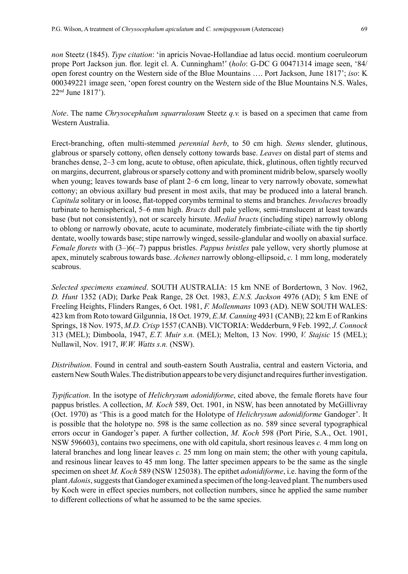*non* Steetz (1845). *Type citation*: 'in apricis Novae-Hollandiae ad latus occid. montium coeruleorum prope Port Jackson jun. flor. legit cl. A. Cunningham!' (*holo*: G-DC G 00471314 image seen, '84/ open forest country on the Western side of the Blue Mountains …. Port Jackson, June 1817'; *iso*: K 000349221 image seen, 'open forest country on the Western side of the Blue Mountains N.S. Wales, 22nd June 1817').

*Note*. The name *Chrysocephalum squarrulosum* Steetz *q.v.* is based on a specimen that came from Western Australia.

Erect-branching, often multi-stemmed *perennial herb*, to 50 cm high. *Stems* slender, glutinous, glabrous or sparsely cottony, often densely cottony towards base. *Leaves* on distal part of stems and branches dense, 2–3 cm long, acute to obtuse, often apiculate, thick, glutinous, often tightly recurved on margins, decurrent, glabrous or sparsely cottony and with prominent midrib below, sparsely woolly when young; leaves towards base of plant 2–6 cm long, linear to very narrowly obovate, somewhat cottony; an obvious axillary bud present in most axils, that may be produced into a lateral branch. *Capitula* solitary or in loose, flat-topped corymbs terminal to stems and branches. *Involucres* broadly turbinate to hemispherical, 5–6 mm high. *Bracts* dull pale yellow, semi-translucent at least towards base (but not consistently), not or scarcely hirsute. *Medial bracts* (including stipe) narrowly oblong to oblong or narrowly obovate, acute to acuminate, moderately fimbriate-ciliate with the tip shortly dentate, woolly towards base; stipe narrowly winged, sessile-glandular and woolly on abaxial surface. *Female florets* with (3–)6(–7) pappus bristles. *Pappus bristles* pale yellow, very shortly plumose at apex, minutely scabrous towards base. *Achenes* narrowly oblong-ellipsoid, *c.* 1 mm long, moderately scabrous.

*Selected specimens examined*. SOUTH AUSTRALIA: 15 km NNE of Bordertown, 3 Nov. 1962, *D. Hunt* 1352 (AD); Darke Peak Range, 28 Oct. 1983, *E.N.S. Jackson* 4976 (AD); 5 km ENE of Freeling Heights, Flinders Ranges, 6 Oct. 1981, *F. Mollenmans* 1093 (AD). NEW SOUTH WALES: 423 km from Roto toward Gilgunnia, 18 Oct. 1979, *E.M. Canning* 4931 (CANB); 22 km E of Rankins Springs, 18 Nov. 1975, *M.D. Crisp* 1557 (CANB). VICTORIA: Wedderburn, 9 Feb. 1992, *J. Connock* 313 (MEL); Dimboola, 1947, *E.T. Muir s.n.* (MEL); Melton, 13 Nov. 1990, *V. Stajsic* 15 (MEL); Nullawil, Nov. 1917, *W.W. Watts s.n.* (NSW).

*Distribution*. Found in central and south-eastern South Australia, central and eastern Victoria, and eastern New South Wales. The distribution appears to be very disjunct and requires further investigation.

*Typification*. In the isotype of *Helichrysum adonidiforme*, cited above, the female florets have four pappus bristles. A collection, *M. Koch* 589, Oct. 1901, in NSW, has been annotated by McGillivray (Oct. 1970) as 'This is a good match for the Holotype of *Helichrysum adonidiforme* Gandoger'. It is possible that the holotype no. 598 is the same collection as no. 589 since several typographical errors occur in Gandoger's paper. A further collection, *M. Koch* 598 (Port Pirie, S.A., Oct. 1901, NSW 596603), contains two specimens, one with old capitula, short resinous leaves *c.* 4 mm long on lateral branches and long linear leaves *c.* 25 mm long on main stem; the other with young capitula, and resinous linear leaves to 45 mm long. The latter specimen appears to be the same as the single specimen on sheet *M. Koch* 589 (NSW 125038). The epithet *adonidiforme*, i.e. having the form of the plant *Adonis*, suggests that Gandoger examined a specimen of the long-leaved plant. The numbers used by Koch were in effect species numbers, not collection numbers, since he applied the same number to different collections of what he assumed to be the same species.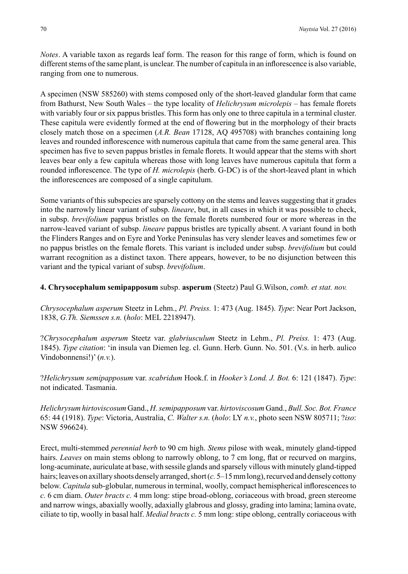*Notes*. A variable taxon as regards leaf form. The reason for this range of form, which is found on different stems of the same plant, is unclear. The number of capitula in an inflorescence is also variable, ranging from one to numerous.

A specimen (NSW 585260) with stems composed only of the short-leaved glandular form that came from Bathurst, New South Wales – the type locality of *Helichrysum microlepis* – has female florets with variably four or six pappus bristles. This form has only one to three capitula in a terminal cluster. These capitula were evidently formed at the end of flowering but in the morphology of their bracts closely match those on a specimen (*A.R. Bean* 17128, AQ 495708) with branches containing long leaves and rounded inflorescence with numerous capitula that came from the same general area. This specimen has five to seven pappus bristles in female florets. It would appear that the stems with short leaves bear only a few capitula whereas those with long leaves have numerous capitula that form a rounded inflorescence. The type of *H. microlepis* (herb. G-DC) is of the short-leaved plant in which the inflorescences are composed of a single capitulum.

Some variants of this subspecies are sparsely cottony on the stems and leaves suggesting that it grades into the narrowly linear variant of subsp. *lineare*, but, in all cases in which it was possible to check, in subsp. *brevifolium* pappus bristles on the female florets numbered four or more whereas in the narrow-leaved variant of subsp. *lineare* pappus bristles are typically absent. A variant found in both the Flinders Ranges and on Eyre and Yorke Peninsulas has very slender leaves and sometimes few or no pappus bristles on the female florets. This variant is included under subsp. *brevifolium* but could warrant recognition as a distinct taxon. There appears, however, to be no disjunction between this variant and the typical variant of subsp. *brevifolium*.

#### **4. Chrysocephalum semipapposum** subsp. **asperum** (Steetz) Paul G.Wilson, *comb. et stat. nov.*

*Chrysocephalum asperum* Steetz in Lehm., *Pl. Preiss.* 1: 473 (Aug. 1845). *Type*: Near Port Jackson, 1838, *G.Th. Siemssen s.n.* (*holo*: MEL 2218947).

?*Chrysocephalum asperum* Steetz var. *glabriusculum* Steetz in Lehm., *Pl. Preiss.* 1: 473 (Aug. 1845). *Type citation*: 'in insula van Diemen leg. cl. Gunn. Herb. Gunn. No. 501. (V.s. in herb. aulico Vindobonnensi!)' (*n.v.*).

?*Helichrysum semipapposum* var. *scabridum* Hook.f. in *Hooker's Lond. J. Bot.* 6: 121 (1847). *Type*: not indicated. Tasmania.

*Helichrysum hirtoviscosum* Gand., *H. semipapposum* var. *hirtoviscosum* Gand., *Bull. Soc. Bot. France* 65: 44 (1918). *Type*: Victoria, Australia, *C. Walter s.n.* (*holo*: LY *n.v.*, photo seen NSW 805711; ?*iso*: NSW 596624).

Erect, multi-stemmed *perennial herb* to 90 cm high. *Stems* pilose with weak, minutely gland-tipped hairs. *Leaves* on main stems oblong to narrowly oblong, to 7 cm long, flat or recurved on margins, long-acuminate, auriculate at base, with sessile glands and sparsely villous with minutely gland-tipped hairs; leaves on axillary shoots densely arranged, short (*c.* 5–15 mm long), recurved and densely cottony below. *Capitula* sub-globular, numerous in terminal, woolly, compact hemispherical inflorescences to *c.* 6 cm diam. *Outer bracts c.* 4 mm long: stipe broad-oblong, coriaceous with broad, green stereome and narrow wings, abaxially woolly, adaxially glabrous and glossy, grading into lamina; lamina ovate, ciliate to tip, woolly in basal half. *Medial bracts c.* 5 mm long: stipe oblong, centrally coriaceous with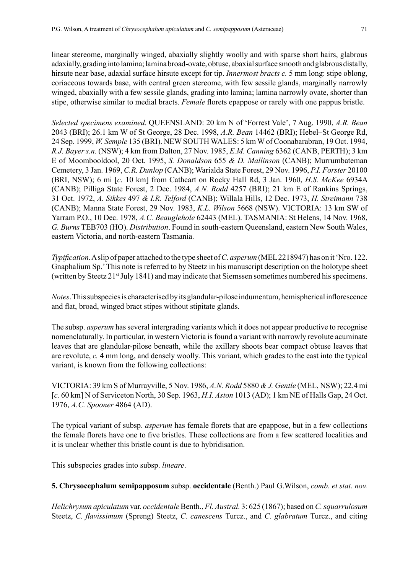linear stereome, marginally winged, abaxially slightly woolly and with sparse short hairs, glabrous adaxially, grading into lamina; lamina broad-ovate, obtuse, abaxial surface smooth and glabrous distally, hirsute near base, adaxial surface hirsute except for tip. *Innermost bracts c.* 5 mm long: stipe oblong, coriaceous towards base, with central green stereome, with few sessile glands, marginally narrowly winged, abaxially with a few sessile glands, grading into lamina; lamina narrowly ovate, shorter than stipe, otherwise similar to medial bracts. *Female* florets epappose or rarely with one pappus bristle.

*Selected specimens examined*. QUEENSLAND: 20 km N of 'Forrest Vale', 7 Aug. 1990, *A.R. Bean* 2043 (BRI); 26.1 km W of St George, 28 Dec. 1998, *A.R. Bean* 14462 (BRI); Hebel–St George Rd, 24 Sep. 1999, *W. Semple* 135 (BRI). NEW SOUTH WALES: 5 km W of Coonabarabran, 19 Oct. 1994, *R.J. Bayer s.n.* (NSW); 4 km from Dalton, 27 Nov. 1985, *E.M. Canning* 6362 (CANB, PERTH); 3 km E of Moombooldool, 20 Oct. 1995, *S. Donaldson* 655 *& D. Mallinson* (CANB); Murrumbateman Cemetery, 3 Jan. 1969, *C.R. Dunlop* (CANB); Warialda State Forest, 29 Nov. 1996, *P.I. Forster* 20100 (BRI, NSW); 6 mi [*c.* 10 km] from Cathcart on Rocky Hall Rd, 3 Jan. 1960, *H.S. McKee* 6934A (CANB); Pilliga State Forest, 2 Dec. 1984, *A.N. Rodd* 4257 (BRI); 21 km E of Rankins Springs, 31 Oct. 1972, *A. Sikkes* 497 *& I.R. Telford* (CANB); Willala Hills, 12 Dec. 1973, *H. Streimann* 738 (CANB); Manna State Forest, 29 Nov. 1983, *K.L. Wilson* 5668 (NSW). VICTORIA: 13 km SW of Yarram P.O., 10 Dec. 1978, *A.C. Beauglehole* 62443 (MEL). TASMANIA: St Helens, 14 Nov. 1968, *G. Burns* TEB703 (HO). *Distribution*. Found in south-eastern Queensland, eastern New South Wales, eastern Victoria, and north-eastern Tasmania.

*Typification*. A slip of paper attached to the type sheet of *C. asperum* (MEL 2218947) has on it 'Nro. 122. Gnaphalium Sp.' This note is referred to by Steetz in his manuscript description on the holotype sheet (written by Steetz 21<sup>st</sup> July 1841) and may indicate that Siemssen sometimes numbered his specimens.

*Notes*. This subspecies is characterised by its glandular-pilose indumentum, hemispherical inflorescence and flat, broad, winged bract stipes without stipitate glands.

The subsp. *asperum* has several intergrading variants which it does not appear productive to recognise nomenclaturally. In particular, in western Victoria is found a variant with narrowly revolute acuminate leaves that are glandular-pilose beneath, while the axillary shoots bear compact obtuse leaves that are revolute, *c.* 4 mm long, and densely woolly. This variant, which grades to the east into the typical variant, is known from the following collections:

VICTORIA: 39 km S of Murrayville, 5 Nov. 1986, *A.N. Rodd* 5880 *& J. Gentle* (MEL, NSW); 22.4 mi [*c.* 60 km] N of Serviceton North, 30 Sep. 1963, *H.I. Aston* 1013 (AD); 1 km NE of Halls Gap, 24 Oct. 1976, *A.C. Spooner* 4864 (AD).

The typical variant of subsp. *asperum* has female florets that are epappose, but in a few collections the female florets have one to five bristles. These collections are from a few scattered localities and it is unclear whether this bristle count is due to hybridisation.

This subspecies grades into subsp. *lineare*.

**5. Chrysocephalum semipapposum** subsp. **occidentale** (Benth.) Paul G.Wilson, *comb. et stat. nov.*

*Helichrysum apiculatum* var. *occidentale* Benth., *Fl. Austral.* 3: 625 (1867); based on *C. squarrulosum*  Steetz, *C. flavissimum* (Spreng) Steetz, *C. canescens* Turcz., and *C. glabratum* Turcz., and citing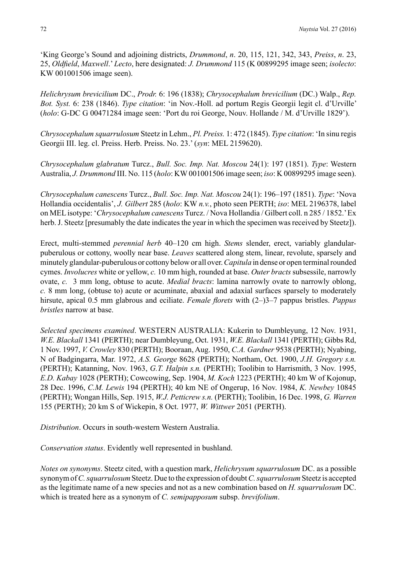'King George's Sound and adjoining districts, *Drummond*, *n*. 20, 115, 121, 342, 343, *Preiss*, *n*. 23, 25, *Oldfield*, *Maxwell*.' *Lecto*, here designated: *J. Drummond* 115 (K 00899295 image seen; *isolecto*: KW 001001506 image seen).

*Helichrysum brevicilium* DC., *Prodr.* 6: 196 (1838); *Chrysocephalum brevicilium* (DC.) Walp., *Rep. Bot. Syst.* 6: 238 (1846). *Type citation*: 'in Nov.-Holl. ad portum Regis Georgii legit cl. d'Urville' (*holo*: G-DC G 00471284 image seen: 'Port du roi George, Nouv. Hollande / M. d'Urville 1829').

*Chrysocephalum squarrulosum* Steetz in Lehm., *Pl. Preiss.* 1: 472 (1845). *Type citation*: 'In sinu regis Georgii III. leg. cl. Preiss. Herb. Preiss. No. 23.' (*syn*: MEL 2159620).

*Chrysocephalum glabratum* Turcz., *Bull. Soc. Imp. Nat. Moscou* 24(1): 197 (1851). *Type*: Western Australia, *J. Drummond* III. No. 115 (*holo*: KW 001001506 image seen; *iso*: K 00899295 image seen).

*Chrysocephalum canescens* Turcz., *Bull. Soc. Imp. Nat. Moscou* 24(1): 196–197 (1851). *Type*: 'Nova Hollandia occidentalis', *J. Gilbert* 285 (*holo*: KW *n.v.*, photo seen PERTH; *iso*: MEL 2196378, label on MEL isotype: '*Chrysocephalum canescens* Turcz. / Nova Hollandia / Gilbert coll. n 285 / 1852.' Ex herb. J. Steetz [presumably the date indicates the year in which the specimen was received by Steetz]).

Erect, multi-stemmed *perennial herb* 40–120 cm high. *Stems* slender, erect, variably glandularpuberulous or cottony, woolly near base. *Leaves* scattered along stem, linear, revolute, sparsely and minutely glandular-puberulous or cottony below or all over. *Capitula* in dense or open terminal rounded cymes. *Involucres* white or yellow, *c.* 10 mm high, rounded at base. *Outer bracts* subsessile, narrowly ovate, *c.* 3 mm long, obtuse to acute. *Medial bracts*: lamina narrowly ovate to narrowly oblong, *c.* 8 mm long, (obtuse to) acute or acuminate, abaxial and adaxial surfaces sparsely to moderately hirsute, apical 0.5 mm glabrous and eciliate. *Female florets* with  $(2-)3-7$  pappus bristles. *Pappus bristles* narrow at base.

*Selected specimens examined*. WESTERN AUSTRALIA: Kukerin to Dumbleyung, 12 Nov. 1931, *W.E. Blackall* 1341 (PERTH); near Dumbleyung, Oct. 1931, *W.E. Blackall* 1341 (PERTH); Gibbs Rd, 1 Nov. 1997, *V. Crowley* 830 (PERTH); Booraan, Aug. 1950, *C.A. Gardner* 9538 (PERTH); Nyabing, N of Badgingarra, Mar. 1972, *A.S. George* 8628 (PERTH); Northam, Oct. 1900, *J.H. Gregory s.n.*  (PERTH); Katanning, Nov. 1963, *G.T. Halpin s.n.* (PERTH); Toolibin to Harrismith, 3 Nov. 1995, *E.D. Kabay* 1028 (PERTH); Cowcowing, Sep. 1904, *M. Koch* 1223 (PERTH); 40 km W of Kojonup, 28 Dec. 1996, *C.M. Lewis* 194 (PERTH); 40 km NE of Ongerup, 16 Nov. 1984, *K. Newbey* 10845 (PERTH); Wongan Hills, Sep. 1915, *W.J. Petticrew s.n.* (PERTH); Toolibin, 16 Dec. 1998, *G. Warren* 155 (PERTH); 20 km S of Wickepin, 8 Oct. 1977, *W. Wittwer* 2051 (PERTH).

*Distribution*. Occurs in south-western Western Australia.

*Conservation status*. Evidently well represented in bushland.

*Notes on synonyms*. Steetz cited, with a question mark, *Helichrysum squarrulosum* DC. as a possible synonym of *C. squarrulosum* Steetz. Due to the expression of doubt *C. squarrulosum* Steetz is accepted as the legitimate name of a new species and not as a new combination based on *H. squarrulosum* DC. which is treated here as a synonym of *C. semipapposum* subsp. *brevifolium*.